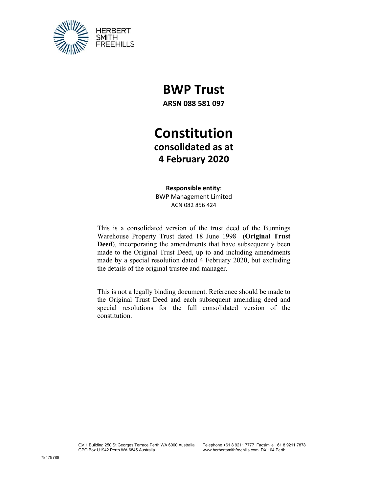

# **BWP Trust**

**ARSN 088 581 097**

# **Constitution consolidated as at 4 February 2020**

**Responsible entity**: BWP Management Limited ACN 082 856 424

This is a consolidated version of the trust deed of the Bunnings Warehouse Property Trust dated 18 June 1998 (**Original Trust Deed**), incorporating the amendments that have subsequently been made to the Original Trust Deed, up to and including amendments made by a special resolution dated 4 February 2020, but excluding the details of the original trustee and manager.

This is not a legally binding document. Reference should be made to the Original Trust Deed and each subsequent amending deed and special resolutions for the full consolidated version of the constitution.

QV.1 Building 250 St Georges Terrace Perth WA 6000 Australia GPO Box U1942 Perth WA 6845 Australia

Telephone +61 8 9211 7777 Facsimile +61 8 9211 7878 www.herbertsmithfreehills.com DX 104 Perth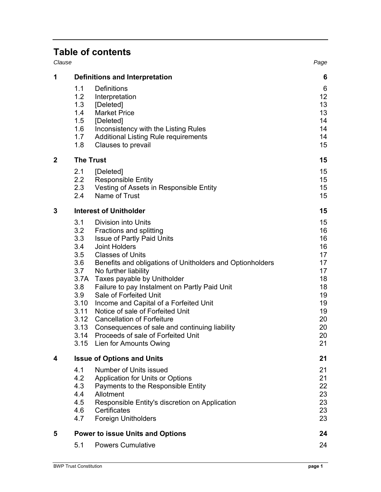# **Table of contents**

| Clause |                                       |                                                                                               | Page     |
|--------|---------------------------------------|-----------------------------------------------------------------------------------------------|----------|
| 1      | <b>Definitions and Interpretation</b> |                                                                                               |          |
|        | 1.1                                   | <b>Definitions</b>                                                                            | 6        |
|        | 1.2                                   | Interpretation                                                                                | 12       |
|        | 1.3<br>1.4                            | [Deleted]<br><b>Market Price</b>                                                              | 13<br>13 |
|        | 1.5                                   | [Deleted]                                                                                     | 14       |
|        | 1.6                                   | Inconsistency with the Listing Rules                                                          | 14       |
|        | 1.7                                   | <b>Additional Listing Rule requirements</b>                                                   | 14       |
|        | 1.8                                   | Clauses to prevail                                                                            | 15       |
| 2      | <b>The Trust</b>                      |                                                                                               | 15       |
|        | 2.1                                   | [Deleted]                                                                                     | 15       |
|        | 2.2                                   | <b>Responsible Entity</b>                                                                     | 15       |
|        | 2.3                                   | Vesting of Assets in Responsible Entity                                                       | 15       |
|        | 2.4                                   | Name of Trust                                                                                 | 15       |
| 3      | <b>Interest of Unitholder</b>         |                                                                                               |          |
|        | 3.1                                   | Division into Units                                                                           | 15       |
|        | 3.2                                   | <b>Fractions and splitting</b>                                                                | 16       |
|        | 3.3                                   | <b>Issue of Partly Paid Units</b>                                                             | 16       |
|        | 3.4                                   | <b>Joint Holders</b>                                                                          | 16       |
|        | 3.5                                   | <b>Classes of Units</b>                                                                       | 17<br>17 |
|        | 3.6<br>3.7                            | Benefits and obligations of Unitholders and Optionholders<br>No further liability             | 17       |
|        | 3.7A                                  | Taxes payable by Unitholder                                                                   | 18       |
|        | 3.8                                   | Failure to pay Instalment on Partly Paid Unit                                                 | 18       |
|        | 3.9                                   | Sale of Forfeited Unit                                                                        | 19       |
|        |                                       | 3.10 Income and Capital of a Forfeited Unit                                                   | 19       |
|        |                                       | 3.11 Notice of sale of Forfeited Unit                                                         | 19       |
|        |                                       | 3.12 Cancellation of Forfeiture                                                               | 20       |
|        |                                       | 3.13 Consequences of sale and continuing liability<br>3.14 Proceeds of sale of Forfeited Unit | 20<br>20 |
|        |                                       | 3.15 Lien for Amounts Owing                                                                   | 21       |
| 4      |                                       | <b>Issue of Options and Units</b>                                                             | 21       |
|        | 4.1                                   | Number of Units issued                                                                        | 21       |
|        | 4.2                                   | <b>Application for Units or Options</b>                                                       | 21       |
|        | 4.3                                   | Payments to the Responsible Entity                                                            | 22       |
|        | 4.4                                   | Allotment                                                                                     | 23       |
|        | 4.5                                   | Responsible Entity's discretion on Application                                                | 23       |
|        | 4.6                                   | Certificates                                                                                  | 23       |
|        | 4.7                                   | <b>Foreign Unitholders</b>                                                                    | 23       |
| 5      |                                       | <b>Power to issue Units and Options</b>                                                       | 24       |
|        | 5.1                                   | <b>Powers Cumulative</b>                                                                      | 24       |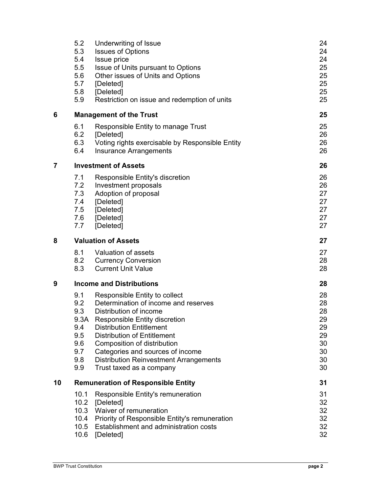|                | 5.2<br>5.3<br>5.4<br>5.5<br>5.6<br>5.7<br>5.8<br>5.9                | Underwriting of Issue<br><b>Issues of Options</b><br>Issue price<br>Issue of Units pursuant to Options<br>Other issues of Units and Options<br>[Deleted]<br>[Deleted]<br>Restriction on issue and redemption of units                                                                                                                                            | 24<br>24<br>24<br>25<br>25<br>25<br>25<br>25             |
|----------------|---------------------------------------------------------------------|------------------------------------------------------------------------------------------------------------------------------------------------------------------------------------------------------------------------------------------------------------------------------------------------------------------------------------------------------------------|----------------------------------------------------------|
| 6              |                                                                     | <b>Management of the Trust</b>                                                                                                                                                                                                                                                                                                                                   | 25                                                       |
|                | 6.1<br>6.2<br>6.3<br>6.4                                            | Responsible Entity to manage Trust<br>[Deleted]<br>Voting rights exercisable by Responsible Entity<br>Insurance Arrangements                                                                                                                                                                                                                                     | 25<br>26<br>26<br>26                                     |
| $\overline{7}$ |                                                                     | <b>Investment of Assets</b>                                                                                                                                                                                                                                                                                                                                      | 26                                                       |
|                | 7.1<br>7.2<br>7.3<br>7.4<br>7.5<br>7.6<br>7.7                       | Responsible Entity's discretion<br>Investment proposals<br>Adoption of proposal<br>[Deleted]<br>[Deleted]<br>[Deleted]<br>[Deleted]                                                                                                                                                                                                                              | 26<br>26<br>27<br>27<br>27<br>27<br>27                   |
| 8              | <b>Valuation of Assets</b>                                          |                                                                                                                                                                                                                                                                                                                                                                  | 27                                                       |
|                | 8.1<br>8.2<br>8.3                                                   | Valuation of assets<br><b>Currency Conversion</b><br><b>Current Unit Value</b>                                                                                                                                                                                                                                                                                   | 27<br>28<br>28                                           |
| 9              |                                                                     | <b>Income and Distributions</b>                                                                                                                                                                                                                                                                                                                                  | 28                                                       |
|                | 9.1<br>9.2<br>9.3<br>9.3A<br>9.4<br>9.5<br>9.6<br>9.7<br>9.8<br>9.9 | Responsible Entity to collect<br>Determination of income and reserves<br>Distribution of income<br><b>Responsible Entity discretion</b><br><b>Distribution Entitlement</b><br><b>Distribution of Entitlement</b><br>Composition of distribution<br>Categories and sources of income<br><b>Distribution Reinvestment Arrangements</b><br>Trust taxed as a company | 28<br>28<br>28<br>29<br>29<br>29<br>30<br>30<br>30<br>30 |
| 10             | <b>Remuneration of Responsible Entity</b>                           |                                                                                                                                                                                                                                                                                                                                                                  |                                                          |
|                | 10.1<br>10.6                                                        | Responsible Entity's remuneration<br>10.2 [Deleted]<br>10.3 Waiver of remuneration<br>10.4 Priority of Responsible Entity's remuneration<br>10.5 Establishment and administration costs<br>[Deleted]                                                                                                                                                             | 31<br>32<br>32<br>32<br>32<br>32                         |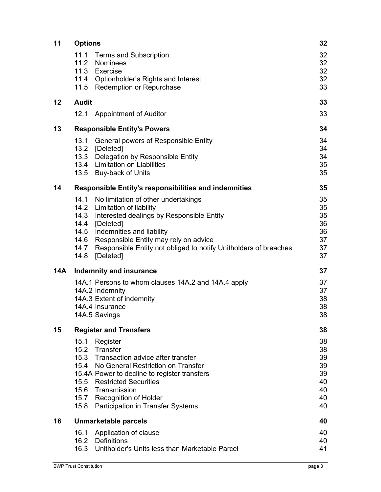| 11  | <b>Options</b>       |                                                                                                                                                                                                                                                                                                          | 32                                                 |
|-----|----------------------|----------------------------------------------------------------------------------------------------------------------------------------------------------------------------------------------------------------------------------------------------------------------------------------------------------|----------------------------------------------------|
|     |                      | 11.1 Terms and Subscription<br>11.2 Nominees<br>11.3 Exercise<br>11.4 Optionholder's Rights and Interest<br>11.5 Redemption or Repurchase                                                                                                                                                                | 32<br>32<br>32<br>32<br>33                         |
| 12  | <b>Audit</b>         |                                                                                                                                                                                                                                                                                                          | 33                                                 |
|     | 12.1                 | <b>Appointment of Auditor</b>                                                                                                                                                                                                                                                                            | 33                                                 |
| 13  |                      | <b>Responsible Entity's Powers</b>                                                                                                                                                                                                                                                                       | 34                                                 |
|     | 13.1                 | General powers of Responsible Entity<br>13.2 [Deleted]<br>13.3 Delegation by Responsible Entity<br>13.4 Limitation on Liabilities<br>13.5 Buy-back of Units                                                                                                                                              | 34<br>34<br>34<br>35<br>35                         |
| 14  |                      | <b>Responsible Entity's responsibilities and indemnities</b>                                                                                                                                                                                                                                             | 35                                                 |
|     | 14.1<br>14.7<br>14.8 | No limitation of other undertakings<br>14.2 Limitation of liability<br>14.3 Interested dealings by Responsible Entity<br>14.4 [Deleted]<br>14.5 Indemnities and liability<br>14.6 Responsible Entity may rely on advice<br>Responsible Entity not obliged to notify Unitholders of breaches<br>[Deleted] | 35<br>35<br>35<br>36<br>36<br>37<br>37<br>37       |
| 14A |                      | Indemnity and insurance                                                                                                                                                                                                                                                                                  | 37                                                 |
|     |                      | 14A.1 Persons to whom clauses 14A.2 and 14A.4 apply<br>14A.2 Indemnity<br>14A.3 Extent of indemnity<br>14A.4 Insurance<br>14A.5 Savings                                                                                                                                                                  | 37<br>37<br>38<br>38<br>38                         |
| 15  |                      | <b>Register and Transfers</b>                                                                                                                                                                                                                                                                            | 38                                                 |
|     | 15.1                 | Register<br>15.2 Transfer<br>15.3 Transaction advice after transfer<br>15.4 No General Restriction on Transfer<br>15.4A Power to decline to register transfers<br>15.5 Restricted Securities<br>15.6 Transmission<br>15.7 Recognition of Holder<br>15.8 Participation in Transfer Systems                | 38<br>38<br>39<br>39<br>39<br>40<br>40<br>40<br>40 |
| 16  |                      | <b>Unmarketable parcels</b>                                                                                                                                                                                                                                                                              | 40                                                 |
|     |                      | 16.1 Application of clause<br>16.2 Definitions<br>16.3 Unitholder's Units less than Marketable Parcel                                                                                                                                                                                                    | 40<br>40<br>41                                     |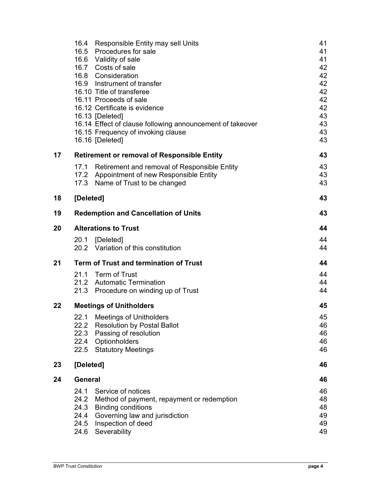|    |                                                    | 16.4 Responsible Entity may sell Units                                                          | 41       |
|----|----------------------------------------------------|-------------------------------------------------------------------------------------------------|----------|
|    |                                                    | 16.5 Procedures for sale<br>16.6 Validity of sale                                               | 41<br>41 |
|    |                                                    | 16.7 Costs of sale                                                                              | 42       |
|    |                                                    | 16.8 Consideration                                                                              | 42       |
|    |                                                    | 16.9 Instrument of transfer                                                                     | 42       |
|    |                                                    | 16.10 Title of transferee                                                                       | 42       |
|    |                                                    | 16.11 Proceeds of sale                                                                          | 42       |
|    |                                                    | 16.12 Certificate is evidence                                                                   | 42       |
|    |                                                    | 16.13 [Deleted]                                                                                 | 43       |
|    |                                                    | 16.14 Effect of clause following announcement of takeover<br>16.15 Frequency of invoking clause | 43<br>43 |
|    |                                                    | 16.16 [Deleted]                                                                                 | 43       |
| 17 | <b>Retirement or removal of Responsible Entity</b> |                                                                                                 |          |
|    |                                                    | 17.1 Retirement and removal of Responsible Entity                                               | 43       |
|    |                                                    | 17.2 Appointment of new Responsible Entity                                                      | 43       |
|    |                                                    | 17.3 Name of Trust to be changed                                                                | 43       |
| 18 | [Deleted]                                          |                                                                                                 | 43       |
| 19 |                                                    | <b>Redemption and Cancellation of Units</b>                                                     | 43       |
| 20 | <b>Alterations to Trust</b>                        |                                                                                                 |          |
|    |                                                    | 20.1 [Deleted]<br>20.2 Variation of this constitution                                           | 44<br>44 |
| 21 | <b>Term of Trust and termination of Trust</b>      |                                                                                                 |          |
|    |                                                    | 21.1 Term of Trust                                                                              | 44       |
|    |                                                    | 21.2 Automatic Termination                                                                      | 44       |
|    |                                                    | 21.3 Procedure on winding up of Trust                                                           | 44       |
| 22 |                                                    | <b>Meetings of Unitholders</b>                                                                  | 45       |
|    |                                                    | 22.1 Meetings of Unitholders                                                                    | 45       |
|    |                                                    | 22.2 Resolution by Postal Ballot<br>22.3 Passing of resolution                                  | 46<br>46 |
|    |                                                    | 22.4 Optionholders                                                                              | 46       |
|    |                                                    | 22.5 Statutory Meetings                                                                         | 46       |
| 23 | [Deleted]                                          |                                                                                                 | 46       |
| 24 | <b>General</b>                                     |                                                                                                 |          |
|    | 24.1                                               | Service of notices                                                                              | 46       |
|    | 24.2                                               | Method of payment, repayment or redemption                                                      | 48       |
|    | 24.3                                               | <b>Binding conditions</b>                                                                       | 48       |
|    | 24.4                                               | Governing law and jurisdiction<br>24.5 Inspection of deed                                       | 49<br>49 |
|    | 24.6                                               | Severability                                                                                    | 49       |
|    |                                                    |                                                                                                 |          |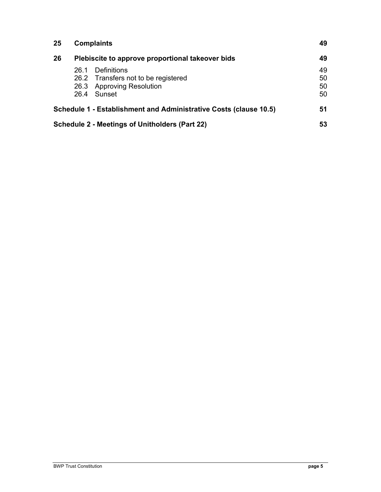| 25 | <b>Complaints</b>                                |                                                                   | 49 |
|----|--------------------------------------------------|-------------------------------------------------------------------|----|
| 26 | Plebiscite to approve proportional takeover bids |                                                                   | 49 |
|    | 26.1                                             | Definitions                                                       | 49 |
|    |                                                  | 26.2 Transfers not to be registered                               | 50 |
|    |                                                  | 26.3 Approving Resolution                                         | 50 |
|    |                                                  | 26.4 Sunset                                                       | 50 |
|    |                                                  | Schedule 1 - Establishment and Administrative Costs (clause 10.5) | 51 |
|    |                                                  | <b>Schedule 2 - Meetings of Unitholders (Part 22)</b>             | 53 |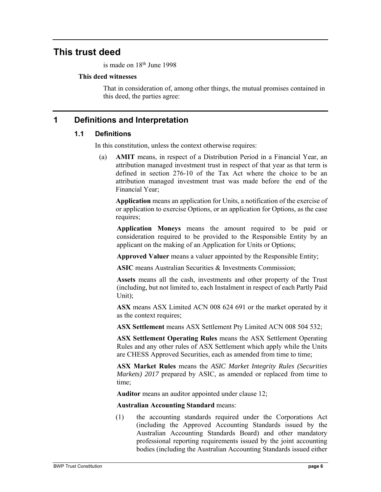# **This trust deed**

is made on  $18<sup>th</sup>$  June 1998

#### **This deed witnesses**

That in consideration of, among other things, the mutual promises contained in this deed, the parties agree:

# **1 Definitions and Interpretation**

#### **1.1 Definitions**

In this constitution, unless the context otherwise requires:

(a) **AMIT** means, in respect of a Distribution Period in a Financial Year, an attribution managed investment trust in respect of that year as that term is defined in section 276-10 of the Tax Act where the choice to be an attribution managed investment trust was made before the end of the Financial Year;

**Application** means an application for Units, a notification of the exercise of or application to exercise Options, or an application for Options, as the case requires;

**Application Moneys** means the amount required to be paid or consideration required to be provided to the Responsible Entity by an applicant on the making of an Application for Units or Options;

**Approved Valuer** means a valuer appointed by the Responsible Entity;

**ASIC** means Australian Securities & Investments Commission;

**Assets** means all the cash, investments and other property of the Trust (including, but not limited to, each Instalment in respect of each Partly Paid Unit);

**ASX** means ASX Limited ACN 008 624 691 or the market operated by it as the context requires;

**ASX Settlement** means ASX Settlement Pty Limited ACN 008 504 532;

**ASX Settlement Operating Rules** means the ASX Settlement Operating Rules and any other rules of ASX Settlement which apply while the Units are CHESS Approved Securities, each as amended from time to time;

**ASX Market Rules** means the *ASIC Market Integrity Rules (Securities Markets) 2017* prepared by ASIC, as amended or replaced from time to time;

**Auditor** means an auditor appointed under clause 12;

**Australian Accounting Standard** means:

(1) the accounting standards required under the Corporations Act (including the Approved Accounting Standards issued by the Australian Accounting Standards Board) and other mandatory professional reporting requirements issued by the joint accounting bodies (including the Australian Accounting Standards issued either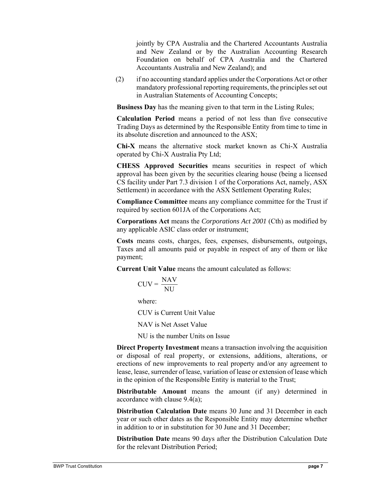jointly by CPA Australia and the Chartered Accountants Australia and New Zealand or by the Australian Accounting Research Foundation on behalf of CPA Australia and the Chartered Accountants Australia and New Zealand); and

(2) if no accounting standard applies under the Corporations Act or other mandatory professional reporting requirements, the principles set out in Australian Statements of Accounting Concepts;

**Business Day** has the meaning given to that term in the Listing Rules;

**Calculation Period** means a period of not less than five consecutive Trading Days as determined by the Responsible Entity from time to time in its absolute discretion and announced to the ASX;

**Chi-X** means the alternative stock market known as Chi-X Australia operated by Chi-X Australia Pty Ltd;

**CHESS Approved Securities** means securities in respect of which approval has been given by the securities clearing house (being a licensed CS facility under Part 7.3 division 1 of the Corporations Act, namely, ASX Settlement) in accordance with the ASX Settlement Operating Rules;

**Compliance Committee** means any compliance committee for the Trust if required by section 601JA of the Corporations Act;

**Corporations Act** means the *Corporations Act 2001* (Cth) as modified by any applicable ASIC class order or instrument;

**Costs** means costs, charges, fees, expenses, disbursements, outgoings, Taxes and all amounts paid or payable in respect of any of them or like payment;

**Current Unit Value** means the amount calculated as follows:

$$
CUV = \frac{NAV}{NU}
$$

where:

CUV is Current Unit Value

NAV is Net Asset Value

NU is the number Units on Issue

**Direct Property Investment** means a transaction involving the acquisition or disposal of real property, or extensions, additions, alterations, or erections of new improvements to real property and/or any agreement to lease, lease, surrender of lease, variation of lease or extension of lease which in the opinion of the Responsible Entity is material to the Trust;

**Distributable Amount** means the amount (if any) determined in accordance with clause 9.4(a);

**Distribution Calculation Date** means 30 June and 31 December in each year or such other dates as the Responsible Entity may determine whether in addition to or in substitution for 30 June and 31 December;

**Distribution Date** means 90 days after the Distribution Calculation Date for the relevant Distribution Period;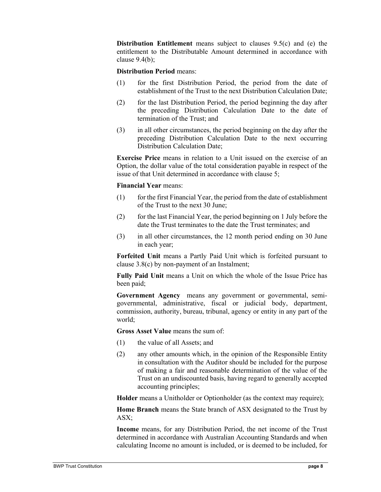**Distribution Entitlement** means subject to clauses 9.5(c) and (e) the entitlement to the Distributable Amount determined in accordance with clause 9.4(b);

#### **Distribution Period** means:

- (1) for the first Distribution Period, the period from the date of establishment of the Trust to the next Distribution Calculation Date;
- (2) for the last Distribution Period, the period beginning the day after the preceding Distribution Calculation Date to the date of termination of the Trust; and
- (3) in all other circumstances, the period beginning on the day after the preceding Distribution Calculation Date to the next occurring Distribution Calculation Date;

**Exercise Price** means in relation to a Unit issued on the exercise of an Option, the dollar value of the total consideration payable in respect of the issue of that Unit determined in accordance with clause 5;

#### **Financial Year** means:

- (1) for the first Financial Year, the period from the date of establishment of the Trust to the next 30 June;
- (2) for the last Financial Year, the period beginning on 1 July before the date the Trust terminates to the date the Trust terminates; and
- (3) in all other circumstances, the 12 month period ending on 30 June in each year;

**Forfeited Unit** means a Partly Paid Unit which is forfeited pursuant to clause 3.8(c) by non-payment of an Instalment;

**Fully Paid Unit** means a Unit on which the whole of the Issue Price has been paid;

**Government Agency** means any government or governmental, semigovernmental, administrative, fiscal or judicial body, department, commission, authority, bureau, tribunal, agency or entity in any part of the world;

**Gross Asset Value** means the sum of:

- (1) the value of all Assets; and
- (2) any other amounts which, in the opinion of the Responsible Entity in consultation with the Auditor should be included for the purpose of making a fair and reasonable determination of the value of the Trust on an undiscounted basis, having regard to generally accepted accounting principles;

**Holder** means a Unitholder or Optionholder (as the context may require);

**Home Branch** means the State branch of ASX designated to the Trust by ASX;

**Income** means, for any Distribution Period, the net income of the Trust determined in accordance with Australian Accounting Standards and when calculating Income no amount is included, or is deemed to be included, for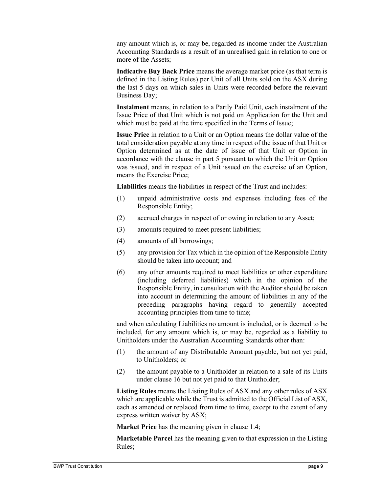any amount which is, or may be, regarded as income under the Australian Accounting Standards as a result of an unrealised gain in relation to one or more of the Assets;

**Indicative Buy Back Price** means the average market price (as that term is defined in the Listing Rules) per Unit of all Units sold on the ASX during the last 5 days on which sales in Units were recorded before the relevant Business Day;

**Instalment** means, in relation to a Partly Paid Unit, each instalment of the Issue Price of that Unit which is not paid on Application for the Unit and which must be paid at the time specified in the Terms of Issue;

**Issue Price** in relation to a Unit or an Option means the dollar value of the total consideration payable at any time in respect of the issue of that Unit or Option determined as at the date of issue of that Unit or Option in accordance with the clause in part 5 pursuant to which the Unit or Option was issued, and in respect of a Unit issued on the exercise of an Option, means the Exercise Price;

**Liabilities** means the liabilities in respect of the Trust and includes:

- (1) unpaid administrative costs and expenses including fees of the Responsible Entity;
- (2) accrued charges in respect of or owing in relation to any Asset;
- (3) amounts required to meet present liabilities;
- (4) amounts of all borrowings;
- (5) any provision for Tax which in the opinion of the Responsible Entity should be taken into account; and
- (6) any other amounts required to meet liabilities or other expenditure (including deferred liabilities) which in the opinion of the Responsible Entity, in consultation with the Auditor should be taken into account in determining the amount of liabilities in any of the preceding paragraphs having regard to generally accepted accounting principles from time to time;

and when calculating Liabilities no amount is included, or is deemed to be included, for any amount which is, or may be, regarded as a liability to Unitholders under the Australian Accounting Standards other than:

- (1) the amount of any Distributable Amount payable, but not yet paid, to Unitholders; or
- (2) the amount payable to a Unitholder in relation to a sale of its Units under clause 16 but not yet paid to that Unitholder;

**Listing Rules** means the Listing Rules of ASX and any other rules of ASX which are applicable while the Trust is admitted to the Official List of ASX, each as amended or replaced from time to time, except to the extent of any express written waiver by ASX;

**Market Price** has the meaning given in clause 1.4;

**Marketable Parcel** has the meaning given to that expression in the Listing Rules;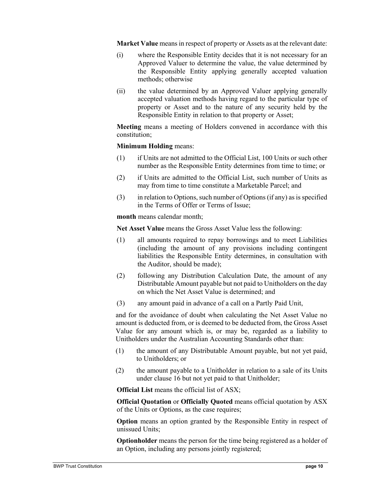**Market Value** means in respect of property or Assets as at the relevant date:

- (i) where the Responsible Entity decides that it is not necessary for an Approved Valuer to determine the value, the value determined by the Responsible Entity applying generally accepted valuation methods; otherwise
- (ii) the value determined by an Approved Valuer applying generally accepted valuation methods having regard to the particular type of property or Asset and to the nature of any security held by the Responsible Entity in relation to that property or Asset;

**Meeting** means a meeting of Holders convened in accordance with this constitution;

#### **Minimum Holding** means:

- (1) if Units are not admitted to the Official List, 100 Units or such other number as the Responsible Entity determines from time to time; or
- (2) if Units are admitted to the Official List, such number of Units as may from time to time constitute a Marketable Parcel; and
- (3) in relation to Options, such number of Options (if any) as is specified in the Terms of Offer or Terms of Issue;

**month** means calendar month;

**Net Asset Value** means the Gross Asset Value less the following:

- (1) all amounts required to repay borrowings and to meet Liabilities (including the amount of any provisions including contingent liabilities the Responsible Entity determines, in consultation with the Auditor, should be made);
- (2) following any Distribution Calculation Date, the amount of any Distributable Amount payable but not paid to Unitholders on the day on which the Net Asset Value is determined; and
- (3) any amount paid in advance of a call on a Partly Paid Unit,

and for the avoidance of doubt when calculating the Net Asset Value no amount is deducted from, or is deemed to be deducted from, the Gross Asset Value for any amount which is, or may be, regarded as a liability to Unitholders under the Australian Accounting Standards other than:

- (1) the amount of any Distributable Amount payable, but not yet paid, to Unitholders; or
- (2) the amount payable to a Unitholder in relation to a sale of its Units under clause 16 but not yet paid to that Unitholder;

**Official List** means the official list of ASX;

**Official Quotation** or **Officially Quoted** means official quotation by ASX of the Units or Options, as the case requires;

**Option** means an option granted by the Responsible Entity in respect of unissued Units;

**Optionholder** means the person for the time being registered as a holder of an Option, including any persons jointly registered;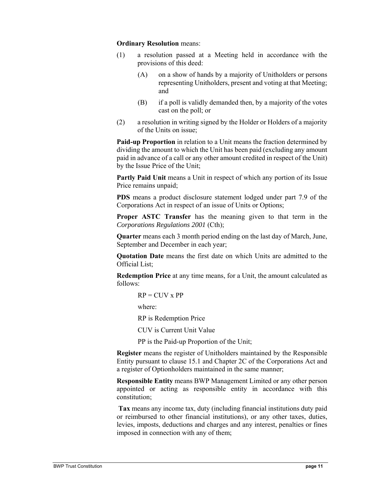#### **Ordinary Resolution** means:

- (1) a resolution passed at a Meeting held in accordance with the provisions of this deed:
	- (A) on a show of hands by a majority of Unitholders or persons representing Unitholders, present and voting at that Meeting; and
	- (B) if a poll is validly demanded then, by a majority of the votes cast on the poll; or
- (2) a resolution in writing signed by the Holder or Holders of a majority of the Units on issue;

**Paid-up Proportion** in relation to a Unit means the fraction determined by dividing the amount to which the Unit has been paid (excluding any amount paid in advance of a call or any other amount credited in respect of the Unit) by the Issue Price of the Unit;

**Partly Paid Unit** means a Unit in respect of which any portion of its Issue Price remains unpaid;

**PDS** means a product disclosure statement lodged under part 7.9 of the Corporations Act in respect of an issue of Units or Options;

**Proper ASTC Transfer** has the meaning given to that term in the *Corporations Regulations 2001* (Cth);

**Quarter** means each 3 month period ending on the last day of March, June, September and December in each year;

**Quotation Date** means the first date on which Units are admitted to the Official List;

**Redemption Price** at any time means, for a Unit, the amount calculated as follows:

```
RP = CUV \times PP
```
where:

RP is Redemption Price

CUV is Current Unit Value

PP is the Paid-up Proportion of the Unit;

**Register** means the register of Unitholders maintained by the Responsible Entity pursuant to clause 15.1 and Chapter 2C of the Corporations Act and a register of Optionholders maintained in the same manner;

**Responsible Entity** means BWP Management Limited or any other person appointed or acting as responsible entity in accordance with this constitution;

**Tax** means any income tax, duty (including financial institutions duty paid or reimbursed to other financial institutions), or any other taxes, duties, levies, imposts, deductions and charges and any interest, penalties or fines imposed in connection with any of them;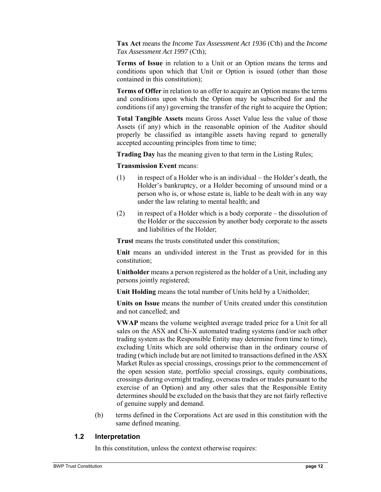**Tax Act** means the *Income Tax Assessment Act 1936* (Cth) and the *Income Tax Assessment Act 1997* (Cth);

**Terms of Issue** in relation to a Unit or an Option means the terms and conditions upon which that Unit or Option is issued (other than those contained in this constitution);

**Terms of Offer** in relation to an offer to acquire an Option means the terms and conditions upon which the Option may be subscribed for and the conditions (if any) governing the transfer of the right to acquire the Option;

**Total Tangible Assets** means Gross Asset Value less the value of those Assets (if any) which in the reasonable opinion of the Auditor should properly be classified as intangible assets having regard to generally accepted accounting principles from time to time;

**Trading Day** has the meaning given to that term in the Listing Rules;

**Transmission Event** means:

- (1) in respect of a Holder who is an individual the Holder's death, the Holder's bankruptcy, or a Holder becoming of unsound mind or a person who is, or whose estate is, liable to be dealt with in any way under the law relating to mental health; and
- (2) in respect of a Holder which is a body corporate the dissolution of the Holder or the succession by another body corporate to the assets and liabilities of the Holder;

**Trust** means the trusts constituted under this constitution;

**Unit** means an undivided interest in the Trust as provided for in this constitution;

**Unitholder** means a person registered as the holder of a Unit, including any persons jointly registered;

**Unit Holding** means the total number of Units held by a Unitholder;

**Units on Issue** means the number of Units created under this constitution and not cancelled; and

**VWAP** means the volume weighted average traded price for a Unit for all sales on the ASX and Chi-X automated trading systems (and/or such other trading system as the Responsible Entity may determine from time to time), excluding Units which are sold otherwise than in the ordinary course of trading (which include but are not limited to transactions defined in the ASX Market Rules as special crossings, crossings prior to the commencement of the open session state, portfolio special crossings, equity combinations, crossings during overnight trading, overseas trades or trades pursuant to the exercise of an Option) and any other sales that the Responsible Entity determines should be excluded on the basis that they are not fairly reflective of genuine supply and demand.

(b) terms defined in the Corporations Act are used in this constitution with the same defined meaning.

# **1.2 Interpretation**

In this constitution, unless the context otherwise requires: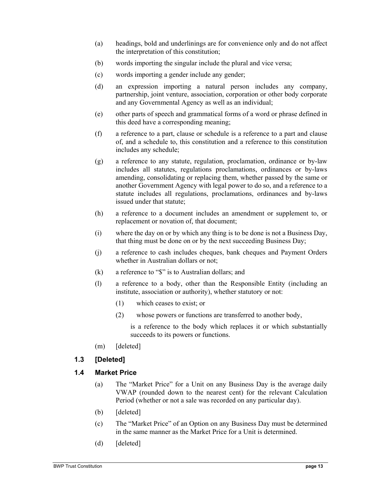- (a) headings, bold and underlinings are for convenience only and do not affect the interpretation of this constitution;
- (b) words importing the singular include the plural and vice versa;
- (c) words importing a gender include any gender;
- (d) an expression importing a natural person includes any company, partnership, joint venture, association, corporation or other body corporate and any Governmental Agency as well as an individual;
- (e) other parts of speech and grammatical forms of a word or phrase defined in this deed have a corresponding meaning;
- (f) a reference to a part, clause or schedule is a reference to a part and clause of, and a schedule to, this constitution and a reference to this constitution includes any schedule;
- (g) a reference to any statute, regulation, proclamation, ordinance or by-law includes all statutes, regulations proclamations, ordinances or by-laws amending, consolidating or replacing them, whether passed by the same or another Government Agency with legal power to do so, and a reference to a statute includes all regulations, proclamations, ordinances and by-laws issued under that statute;
- (h) a reference to a document includes an amendment or supplement to, or replacement or novation of, that document;
- (i) where the day on or by which any thing is to be done is not a Business Day, that thing must be done on or by the next succeeding Business Day;
- (j) a reference to cash includes cheques, bank cheques and Payment Orders whether in Australian dollars or not;
- (k) a reference to "\$" is to Australian dollars; and
- (l) a reference to a body, other than the Responsible Entity (including an institute, association or authority), whether statutory or not:
	- (1) which ceases to exist; or
	- (2) whose powers or functions are transferred to another body,
		- is a reference to the body which replaces it or which substantially succeeds to its powers or functions.
- (m) [deleted]

# **1.3 [Deleted]**

# **1.4 Market Price**

- (a) The "Market Price" for a Unit on any Business Day is the average daily VWAP (rounded down to the nearest cent) for the relevant Calculation Period (whether or not a sale was recorded on any particular day).
- (b) [deleted]
- (c) The "Market Price" of an Option on any Business Day must be determined in the same manner as the Market Price for a Unit is determined.
- (d) [deleted]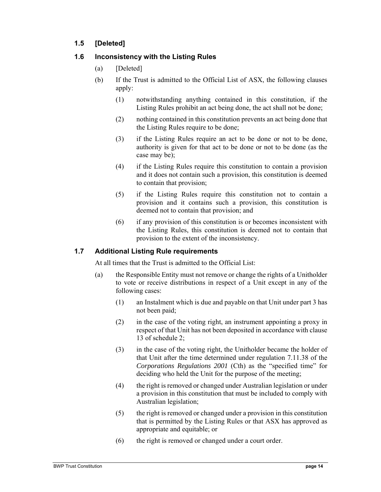# **1.5 [Deleted]**

# **1.6 Inconsistency with the Listing Rules**

- (a) [Deleted]
- (b) If the Trust is admitted to the Official List of ASX, the following clauses apply:
	- (1) notwithstanding anything contained in this constitution, if the Listing Rules prohibit an act being done, the act shall not be done;
	- (2) nothing contained in this constitution prevents an act being done that the Listing Rules require to be done;
	- (3) if the Listing Rules require an act to be done or not to be done, authority is given for that act to be done or not to be done (as the case may be);
	- (4) if the Listing Rules require this constitution to contain a provision and it does not contain such a provision, this constitution is deemed to contain that provision;
	- (5) if the Listing Rules require this constitution not to contain a provision and it contains such a provision, this constitution is deemed not to contain that provision; and
	- (6) if any provision of this constitution is or becomes inconsistent with the Listing Rules, this constitution is deemed not to contain that provision to the extent of the inconsistency.

# **1.7 Additional Listing Rule requirements**

At all times that the Trust is admitted to the Official List:

- (a) the Responsible Entity must not remove or change the rights of a Unitholder to vote or receive distributions in respect of a Unit except in any of the following cases:
	- (1) an Instalment which is due and payable on that Unit under part 3 has not been paid;
	- (2) in the case of the voting right, an instrument appointing a proxy in respect of that Unit has not been deposited in accordance with clause 13 of schedule 2;
	- (3) in the case of the voting right, the Unitholder became the holder of that Unit after the time determined under regulation 7.11.38 of the *Corporations Regulations 2001* (Cth) as the "specified time" for deciding who held the Unit for the purpose of the meeting;
	- (4) the right is removed or changed under Australian legislation or under a provision in this constitution that must be included to comply with Australian legislation;
	- (5) the right is removed or changed under a provision in this constitution that is permitted by the Listing Rules or that ASX has approved as appropriate and equitable; or
	- (6) the right is removed or changed under a court order.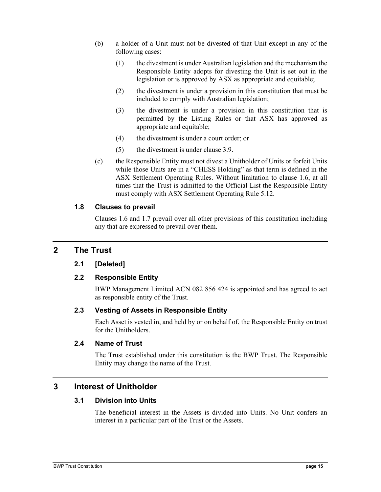- (b) a holder of a Unit must not be divested of that Unit except in any of the following cases:
	- (1) the divestment is under Australian legislation and the mechanism the Responsible Entity adopts for divesting the Unit is set out in the legislation or is approved by ASX as appropriate and equitable;
	- (2) the divestment is under a provision in this constitution that must be included to comply with Australian legislation;
	- (3) the divestment is under a provision in this constitution that is permitted by the Listing Rules or that ASX has approved as appropriate and equitable;
	- (4) the divestment is under a court order; or
	- (5) the divestment is under clause 3.9.
- (c) the Responsible Entity must not divest a Unitholder of Units or forfeit Units while those Units are in a "CHESS Holding" as that term is defined in the ASX Settlement Operating Rules. Without limitation to clause 1.6, at all times that the Trust is admitted to the Official List the Responsible Entity must comply with ASX Settlement Operating Rule 5.12.

#### **1.8 Clauses to prevail**

Clauses 1.6 and 1.7 prevail over all other provisions of this constitution including any that are expressed to prevail over them.

# **2 The Trust**

## **2.1 [Deleted]**

## **2.2 Responsible Entity**

BWP Management Limited ACN 082 856 424 is appointed and has agreed to act as responsible entity of the Trust.

## **2.3 Vesting of Assets in Responsible Entity**

Each Asset is vested in, and held by or on behalf of, the Responsible Entity on trust for the Unitholders.

## **2.4 Name of Trust**

The Trust established under this constitution is the BWP Trust. The Responsible Entity may change the name of the Trust.

# **3 Interest of Unitholder**

## **3.1 Division into Units**

The beneficial interest in the Assets is divided into Units. No Unit confers an interest in a particular part of the Trust or the Assets.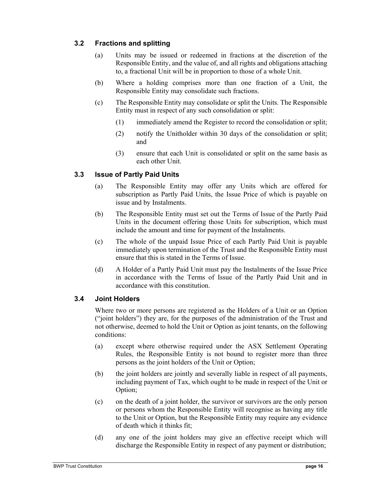# **3.2 Fractions and splitting**

- (a) Units may be issued or redeemed in fractions at the discretion of the Responsible Entity, and the value of, and all rights and obligations attaching to, a fractional Unit will be in proportion to those of a whole Unit.
- (b) Where a holding comprises more than one fraction of a Unit, the Responsible Entity may consolidate such fractions.
- (c) The Responsible Entity may consolidate or split the Units. The Responsible Entity must in respect of any such consolidation or split:
	- (1) immediately amend the Register to record the consolidation or split;
	- (2) notify the Unitholder within 30 days of the consolidation or split; and
	- (3) ensure that each Unit is consolidated or split on the same basis as each other Unit.

## **3.3 Issue of Partly Paid Units**

- (a) The Responsible Entity may offer any Units which are offered for subscription as Partly Paid Units, the Issue Price of which is payable on issue and by Instalments.
- (b) The Responsible Entity must set out the Terms of Issue of the Partly Paid Units in the document offering those Units for subscription, which must include the amount and time for payment of the Instalments.
- (c) The whole of the unpaid Issue Price of each Partly Paid Unit is payable immediately upon termination of the Trust and the Responsible Entity must ensure that this is stated in the Terms of Issue.
- (d) A Holder of a Partly Paid Unit must pay the Instalments of the Issue Price in accordance with the Terms of Issue of the Partly Paid Unit and in accordance with this constitution.

## **3.4 Joint Holders**

Where two or more persons are registered as the Holders of a Unit or an Option ("joint holders") they are, for the purposes of the administration of the Trust and not otherwise, deemed to hold the Unit or Option as joint tenants, on the following conditions:

- (a) except where otherwise required under the ASX Settlement Operating Rules, the Responsible Entity is not bound to register more than three persons as the joint holders of the Unit or Option;
- (b) the joint holders are jointly and severally liable in respect of all payments, including payment of Tax, which ought to be made in respect of the Unit or Option;
- (c) on the death of a joint holder, the survivor or survivors are the only person or persons whom the Responsible Entity will recognise as having any title to the Unit or Option, but the Responsible Entity may require any evidence of death which it thinks fit;
- (d) any one of the joint holders may give an effective receipt which will discharge the Responsible Entity in respect of any payment or distribution;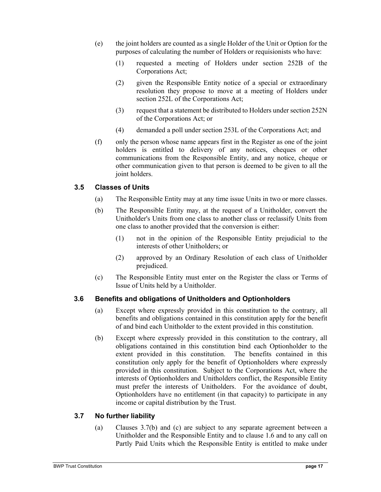- (e) the joint holders are counted as a single Holder of the Unit or Option for the purposes of calculating the number of Holders or requisionists who have:
	- (1) requested a meeting of Holders under section 252B of the Corporations Act;
	- (2) given the Responsible Entity notice of a special or extraordinary resolution they propose to move at a meeting of Holders under section 252L of the Corporations Act;
	- (3) request that a statement be distributed to Holders under section 252N of the Corporations Act; or
	- (4) demanded a poll under section 253L of the Corporations Act; and
- (f) only the person whose name appears first in the Register as one of the joint holders is entitled to delivery of any notices, cheques or other communications from the Responsible Entity, and any notice, cheque or other communication given to that person is deemed to be given to all the joint holders.

# **3.5 Classes of Units**

- (a) The Responsible Entity may at any time issue Units in two or more classes.
- (b) The Responsible Entity may, at the request of a Unitholder, convert the Unitholder's Units from one class to another class or reclassify Units from one class to another provided that the conversion is either:
	- (1) not in the opinion of the Responsible Entity prejudicial to the interests of other Unitholders; or
	- (2) approved by an Ordinary Resolution of each class of Unitholder prejudiced.
- (c) The Responsible Entity must enter on the Register the class or Terms of Issue of Units held by a Unitholder.

# **3.6 Benefits and obligations of Unitholders and Optionholders**

- (a) Except where expressly provided in this constitution to the contrary, all benefits and obligations contained in this constitution apply for the benefit of and bind each Unitholder to the extent provided in this constitution.
- (b) Except where expressly provided in this constitution to the contrary, all obligations contained in this constitution bind each Optionholder to the extent provided in this constitution. The benefits contained in this constitution only apply for the benefit of Optionholders where expressly provided in this constitution. Subject to the Corporations Act, where the interests of Optionholders and Unitholders conflict, the Responsible Entity must prefer the interests of Unitholders. For the avoidance of doubt, Optionholders have no entitlement (in that capacity) to participate in any income or capital distribution by the Trust.

# **3.7 No further liability**

(a) Clauses 3.7(b) and (c) are subject to any separate agreement between a Unitholder and the Responsible Entity and to clause 1.6 and to any call on Partly Paid Units which the Responsible Entity is entitled to make under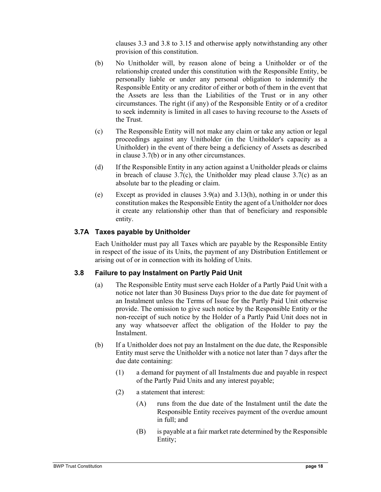clauses 3.3 and 3.8 to 3.15 and otherwise apply notwithstanding any other provision of this constitution.

- (b) No Unitholder will, by reason alone of being a Unitholder or of the relationship created under this constitution with the Responsible Entity, be personally liable or under any personal obligation to indemnify the Responsible Entity or any creditor of either or both of them in the event that the Assets are less than the Liabilities of the Trust or in any other circumstances. The right (if any) of the Responsible Entity or of a creditor to seek indemnity is limited in all cases to having recourse to the Assets of the Trust.
- (c) The Responsible Entity will not make any claim or take any action or legal proceedings against any Unitholder (in the Unitholder's capacity as a Unitholder) in the event of there being a deficiency of Assets as described in clause 3.7(b) or in any other circumstances.
- (d) If the Responsible Entity in any action against a Unitholder pleads or claims in breach of clause  $3.7(c)$ , the Unitholder may plead clause  $3.7(c)$  as an absolute bar to the pleading or claim.
- (e) Except as provided in clauses 3.9(a) and 3.13(h), nothing in or under this constitution makes the Responsible Entity the agent of a Unitholder nor does it create any relationship other than that of beneficiary and responsible entity.

# **3.7A Taxes payable by Unitholder**

Each Unitholder must pay all Taxes which are payable by the Responsible Entity in respect of the issue of its Units, the payment of any Distribution Entitlement or arising out of or in connection with its holding of Units.

# **3.8 Failure to pay Instalment on Partly Paid Unit**

- (a) The Responsible Entity must serve each Holder of a Partly Paid Unit with a notice not later than 30 Business Days prior to the due date for payment of an Instalment unless the Terms of Issue for the Partly Paid Unit otherwise provide. The omission to give such notice by the Responsible Entity or the non-receipt of such notice by the Holder of a Partly Paid Unit does not in any way whatsoever affect the obligation of the Holder to pay the Instalment.
- (b) If a Unitholder does not pay an Instalment on the due date, the Responsible Entity must serve the Unitholder with a notice not later than 7 days after the due date containing:
	- (1) a demand for payment of all Instalments due and payable in respect of the Partly Paid Units and any interest payable;
	- (2) a statement that interest:
		- (A) runs from the due date of the Instalment until the date the Responsible Entity receives payment of the overdue amount in full; and
		- (B) is payable at a fair market rate determined by the Responsible Entity;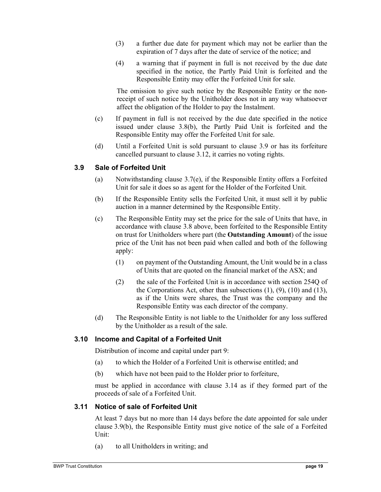- (3) a further due date for payment which may not be earlier than the expiration of 7 days after the date of service of the notice; and
- (4) a warning that if payment in full is not received by the due date specified in the notice, the Partly Paid Unit is forfeited and the Responsible Entity may offer the Forfeited Unit for sale.

The omission to give such notice by the Responsible Entity or the nonreceipt of such notice by the Unitholder does not in any way whatsoever affect the obligation of the Holder to pay the Instalment.

- (c) If payment in full is not received by the due date specified in the notice issued under clause 3.8(b), the Partly Paid Unit is forfeited and the Responsible Entity may offer the Forfeited Unit for sale.
- (d) Until a Forfeited Unit is sold pursuant to clause 3.9 or has its forfeiture cancelled pursuant to clause 3.12, it carries no voting rights.

# **3.9 Sale of Forfeited Unit**

- (a) Notwithstanding clause 3.7(e), if the Responsible Entity offers a Forfeited Unit for sale it does so as agent for the Holder of the Forfeited Unit.
- (b) If the Responsible Entity sells the Forfeited Unit, it must sell it by public auction in a manner determined by the Responsible Entity.
- (c) The Responsible Entity may set the price for the sale of Units that have, in accordance with clause 3.8 above, been forfeited to the Responsible Entity on trust for Unitholders where part (the **Outstanding Amount**) of the issue price of the Unit has not been paid when called and both of the following apply:
	- (1) on payment of the Outstanding Amount, the Unit would be in a class of Units that are quoted on the financial market of the ASX; and
	- (2) the sale of the Forfeited Unit is in accordance with section 254Q of the Corporations Act, other than subsections  $(1)$ ,  $(9)$ ,  $(10)$  and  $(13)$ , as if the Units were shares, the Trust was the company and the Responsible Entity was each director of the company.
- (d) The Responsible Entity is not liable to the Unitholder for any loss suffered by the Unitholder as a result of the sale.

## **3.10 Income and Capital of a Forfeited Unit**

Distribution of income and capital under part 9:

- (a) to which the Holder of a Forfeited Unit is otherwise entitled; and
- (b) which have not been paid to the Holder prior to forfeiture,

must be applied in accordance with clause 3.14 as if they formed part of the proceeds of sale of a Forfeited Unit.

## **3.11 Notice of sale of Forfeited Unit**

At least 7 days but no more than 14 days before the date appointed for sale under clause 3.9(b), the Responsible Entity must give notice of the sale of a Forfeited Unit:

(a) to all Unitholders in writing; and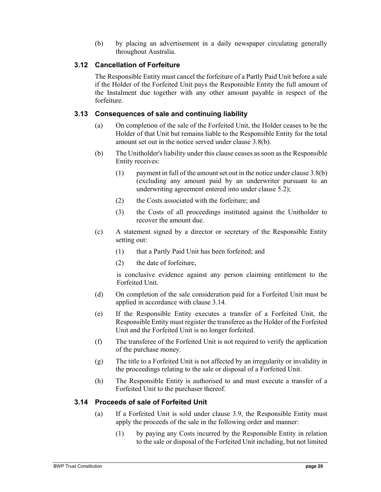(b) by placing an advertisement in a daily newspaper circulating generally throughout Australia.

# **3.12 Cancellation of Forfeiture**

The Responsible Entity must cancel the forfeiture of a Partly Paid Unit before a sale if the Holder of the Forfeited Unit pays the Responsible Entity the full amount of the Instalment due together with any other amount payable in respect of the forfeiture.

# **3.13 Consequences of sale and continuing liability**

- (a) On completion of the sale of the Forfeited Unit, the Holder ceases to be the Holder of that Unit but remains liable to the Responsible Entity for the total amount set out in the notice served under clause 3.8(b).
- (b) The Unitholder's liability under this clause ceases as soon as the Responsible Entity receives:
	- (1) payment in full of the amount set out in the notice under clause  $3.8(b)$ (excluding any amount paid by an underwriter pursuant to an underwriting agreement entered into under clause  $5.\overline{2}$ );
	- (2) the Costs associated with the forfeiture; and
	- (3) the Costs of all proceedings instituted against the Unitholder to recover the amount due.
- (c) A statement signed by a director or secretary of the Responsible Entity setting out:
	- (1) that a Partly Paid Unit has been forfeited; and
	- (2) the date of forfeiture,

is conclusive evidence against any person claiming entitlement to the Forfeited Unit.

- (d) On completion of the sale consideration paid for a Forfeited Unit must be applied in accordance with clause 3.14.
- (e) If the Responsible Entity executes a transfer of a Forfeited Unit, the Responsible Entity must register the transferee as the Holder of the Forfeited Unit and the Forfeited Unit is no longer forfeited.
- (f) The transferee of the Forfeited Unit is not required to verify the application of the purchase money.
- (g) The title to a Forfeited Unit is not affected by an irregularity or invalidity in the proceedings relating to the sale or disposal of a Forfeited Unit.
- (h) The Responsible Entity is authorised to and must execute a transfer of a Forfeited Unit to the purchaser thereof.

## **3.14 Proceeds of sale of Forfeited Unit**

- (a) If a Forfeited Unit is sold under clause 3.9, the Responsible Entity must apply the proceeds of the sale in the following order and manner:
	- (1) by paying any Costs incurred by the Responsible Entity in relation to the sale or disposal of the Forfeited Unit including, but not limited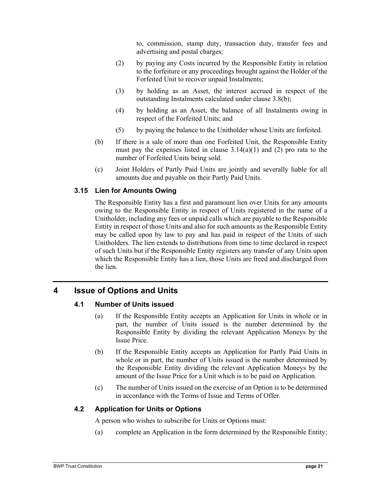to, commission, stamp duty, transaction duty, transfer fees and advertising and postal charges;

- (2) by paying any Costs incurred by the Responsible Entity in relation to the forfeiture or any proceedings brought against the Holder of the Forfeited Unit to recover unpaid Instalments;
- (3) by holding as an Asset, the interest accrued in respect of the outstanding Instalments calculated under clause 3.8(b);
- (4) by holding as an Asset, the balance of all Instalments owing in respect of the Forfeited Units; and
- (5) by paying the balance to the Unitholder whose Units are forfeited.
- (b) If there is a sale of more than one Forfeited Unit, the Responsible Entity must pay the expenses listed in clause  $3.14(a)(1)$  and (2) pro rata to the number of Forfeited Units being sold.
- (c) Joint Holders of Partly Paid Units are jointly and severally liable for all amounts due and payable on their Partly Paid Units.

# **3.15 Lien for Amounts Owing**

The Responsible Entity has a first and paramount lien over Units for any amounts owing to the Responsible Entity in respect of Units registered in the name of a Unitholder, including any fees or unpaid calls which are payable to the Responsible Entity in respect of those Units and also for such amounts as the Responsible Entity may be called upon by law to pay and has paid in respect of the Units of such Unitholders. The lien extends to distributions from time to time declared in respect of such Units but if the Responsible Entity registers any transfer of any Units upon which the Responsible Entity has a lien, those Units are freed and discharged from the lien.

# **4 Issue of Options and Units**

# **4.1 Number of Units issued**

- (a) If the Responsible Entity accepts an Application for Units in whole or in part, the number of Units issued is the number determined by the Responsible Entity by dividing the relevant Application Moneys by the Issue Price.
- (b) If the Responsible Entity accepts an Application for Partly Paid Units in whole or in part, the number of Units issued is the number determined by the Responsible Entity dividing the relevant Application Moneys by the amount of the Issue Price for a Unit which is to be paid on Application.
- (c) The number of Units issued on the exercise of an Option is to be determined in accordance with the Terms of Issue and Terms of Offer.

## **4.2 Application for Units or Options**

A person who wishes to subscribe for Units or Options must:

(a) complete an Application in the form determined by the Responsible Entity;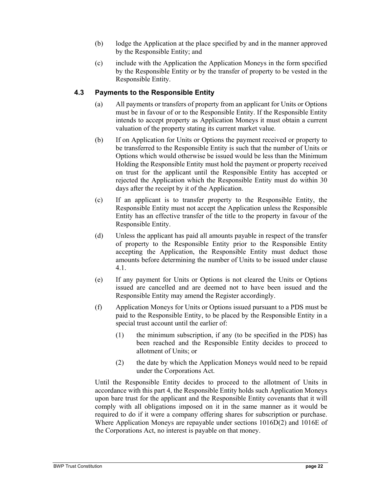- (b) lodge the Application at the place specified by and in the manner approved by the Responsible Entity; and
- (c) include with the Application the Application Moneys in the form specified by the Responsible Entity or by the transfer of property to be vested in the Responsible Entity.

# **4.3 Payments to the Responsible Entity**

- (a) All payments or transfers of property from an applicant for Units or Options must be in favour of or to the Responsible Entity. If the Responsible Entity intends to accept property as Application Moneys it must obtain a current valuation of the property stating its current market value.
- (b) If on Application for Units or Options the payment received or property to be transferred to the Responsible Entity is such that the number of Units or Options which would otherwise be issued would be less than the Minimum Holding the Responsible Entity must hold the payment or property received on trust for the applicant until the Responsible Entity has accepted or rejected the Application which the Responsible Entity must do within 30 days after the receipt by it of the Application.
- (c) If an applicant is to transfer property to the Responsible Entity, the Responsible Entity must not accept the Application unless the Responsible Entity has an effective transfer of the title to the property in favour of the Responsible Entity.
- (d) Unless the applicant has paid all amounts payable in respect of the transfer of property to the Responsible Entity prior to the Responsible Entity accepting the Application, the Responsible Entity must deduct those amounts before determining the number of Units to be issued under clause 4.1.
- (e) If any payment for Units or Options is not cleared the Units or Options issued are cancelled and are deemed not to have been issued and the Responsible Entity may amend the Register accordingly.
- (f) Application Moneys for Units or Options issued pursuant to a PDS must be paid to the Responsible Entity, to be placed by the Responsible Entity in a special trust account until the earlier of:
	- (1) the minimum subscription, if any (to be specified in the PDS) has been reached and the Responsible Entity decides to proceed to allotment of Units; or
	- (2) the date by which the Application Moneys would need to be repaid under the Corporations Act.

Until the Responsible Entity decides to proceed to the allotment of Units in accordance with this part 4, the Responsible Entity holds such Application Moneys upon bare trust for the applicant and the Responsible Entity covenants that it will comply with all obligations imposed on it in the same manner as it would be required to do if it were a company offering shares for subscription or purchase. Where Application Moneys are repayable under sections 1016D(2) and 1016E of the Corporations Act, no interest is payable on that money.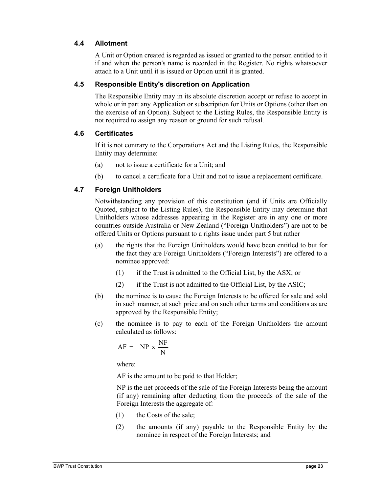# **4.4 Allotment**

A Unit or Option created is regarded as issued or granted to the person entitled to it if and when the person's name is recorded in the Register. No rights whatsoever attach to a Unit until it is issued or Option until it is granted.

# **4.5 Responsible Entity's discretion on Application**

The Responsible Entity may in its absolute discretion accept or refuse to accept in whole or in part any Application or subscription for Units or Options (other than on the exercise of an Option). Subject to the Listing Rules, the Responsible Entity is not required to assign any reason or ground for such refusal.

# **4.6 Certificates**

If it is not contrary to the Corporations Act and the Listing Rules, the Responsible Entity may determine:

- (a) not to issue a certificate for a Unit; and
- (b) to cancel a certificate for a Unit and not to issue a replacement certificate.

# **4.7 Foreign Unitholders**

Notwithstanding any provision of this constitution (and if Units are Officially Quoted, subject to the Listing Rules), the Responsible Entity may determine that Unitholders whose addresses appearing in the Register are in any one or more countries outside Australia or New Zealand ("Foreign Unitholders") are not to be offered Units or Options pursuant to a rights issue under part 5 but rather

- (a) the rights that the Foreign Unitholders would have been entitled to but for the fact they are Foreign Unitholders ("Foreign Interests") are offered to a nominee approved:
	- (1) if the Trust is admitted to the Official List, by the ASX; or
	- (2) if the Trust is not admitted to the Official List, by the ASIC;
- (b) the nominee is to cause the Foreign Interests to be offered for sale and sold in such manner, at such price and on such other terms and conditions as are approved by the Responsible Entity;
- (c) the nominee is to pay to each of the Foreign Unitholders the amount calculated as follows:

$$
AF = NP x \frac{NF}{N}
$$

where:

AF is the amount to be paid to that Holder;

NP is the net proceeds of the sale of the Foreign Interests being the amount (if any) remaining after deducting from the proceeds of the sale of the Foreign Interests the aggregate of:

- (1) the Costs of the sale;
- (2) the amounts (if any) payable to the Responsible Entity by the nominee in respect of the Foreign Interests; and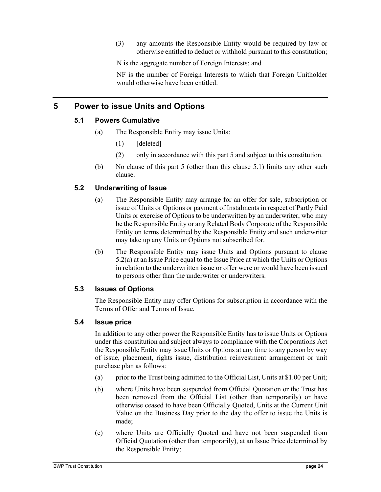(3) any amounts the Responsible Entity would be required by law or otherwise entitled to deduct or withhold pursuant to this constitution;

N is the aggregate number of Foreign Interests; and

NF is the number of Foreign Interests to which that Foreign Unitholder would otherwise have been entitled.

# **5 Power to issue Units and Options**

# **5.1 Powers Cumulative**

- (a) The Responsible Entity may issue Units:
	- (1) [deleted]
	- (2) only in accordance with this part 5 and subject to this constitution.
- (b) No clause of this part 5 (other than this clause 5.1) limits any other such clause.

# **5.2 Underwriting of Issue**

- (a) The Responsible Entity may arrange for an offer for sale, subscription or issue of Units or Options or payment of Instalments in respect of Partly Paid Units or exercise of Options to be underwritten by an underwriter, who may be the Responsible Entity or any Related Body Corporate of the Responsible Entity on terms determined by the Responsible Entity and such underwriter may take up any Units or Options not subscribed for.
- (b) The Responsible Entity may issue Units and Options pursuant to clause 5.2(a) at an Issue Price equal to the Issue Price at which the Units or Options in relation to the underwritten issue or offer were or would have been issued to persons other than the underwriter or underwriters.

# **5.3 Issues of Options**

The Responsible Entity may offer Options for subscription in accordance with the Terms of Offer and Terms of Issue.

# **5.4 Issue price**

In addition to any other power the Responsible Entity has to issue Units or Options under this constitution and subject always to compliance with the Corporations Act the Responsible Entity may issue Units or Options at any time to any person by way of issue, placement, rights issue, distribution reinvestment arrangement or unit purchase plan as follows:

- (a) prior to the Trust being admitted to the Official List, Units at \$1.00 per Unit;
- (b) where Units have been suspended from Official Quotation or the Trust has been removed from the Official List (other than temporarily) or have otherwise ceased to have been Officially Quoted, Units at the Current Unit Value on the Business Day prior to the day the offer to issue the Units is made;
- (c) where Units are Officially Quoted and have not been suspended from Official Quotation (other than temporarily), at an Issue Price determined by the Responsible Entity;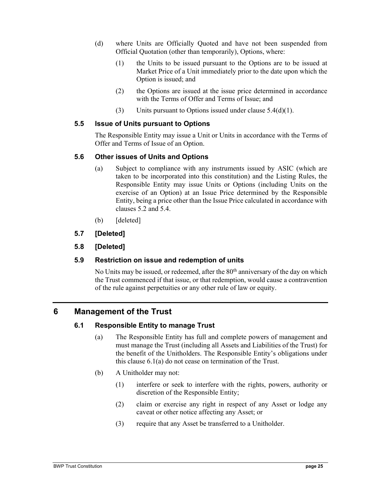- (d) where Units are Officially Quoted and have not been suspended from Official Quotation (other than temporarily), Options, where:
	- (1) the Units to be issued pursuant to the Options are to be issued at Market Price of a Unit immediately prior to the date upon which the Option is issued; and
	- (2) the Options are issued at the issue price determined in accordance with the Terms of Offer and Terms of Issue; and
	- (3) Units pursuant to Options issued under clause  $5.4\text{(d)}(1)$ .

#### **5.5 Issue of Units pursuant to Options**

The Responsible Entity may issue a Unit or Units in accordance with the Terms of Offer and Terms of Issue of an Option.

## **5.6 Other issues of Units and Options**

- (a) Subject to compliance with any instruments issued by ASIC (which are taken to be incorporated into this constitution) and the Listing Rules, the Responsible Entity may issue Units or Options (including Units on the exercise of an Option) at an Issue Price determined by the Responsible Entity, being a price other than the Issue Price calculated in accordance with clauses 5.2 and 5.4.
- (b) [deleted]

# **5.7 [Deleted]**

## **5.8 [Deleted]**

## **5.9 Restriction on issue and redemption of units**

No Units may be issued, or redeemed, after the  $80<sup>th</sup>$  anniversary of the day on which the Trust commenced if that issue, or that redemption, would cause a contravention of the rule against perpetuities or any other rule of law or equity.

# **6 Management of the Trust**

## **6.1 Responsible Entity to manage Trust**

- (a) The Responsible Entity has full and complete powers of management and must manage the Trust (including all Assets and Liabilities of the Trust) for the benefit of the Unitholders. The Responsible Entity's obligations under this clause 6.1(a) do not cease on termination of the Trust.
- (b) A Unitholder may not:
	- (1) interfere or seek to interfere with the rights, powers, authority or discretion of the Responsible Entity;
	- (2) claim or exercise any right in respect of any Asset or lodge any caveat or other notice affecting any Asset; or
	- (3) require that any Asset be transferred to a Unitholder.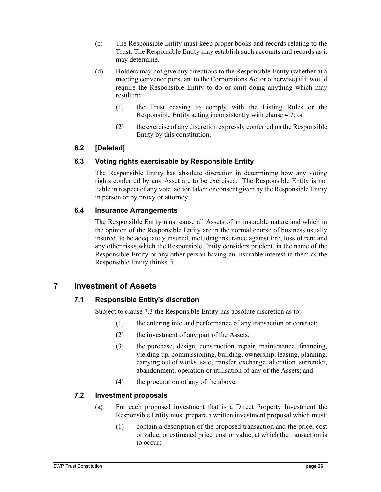- (c) The Responsible Entity must keep proper books and records relating to the Trust. The Responsible Entity may establish such accounts and records as it may determine.
- (d) Holders may not give any directions to the Responsible Entity (whether at a meeting convened pursuant to the Corporations Act or otherwise) if it would require the Responsible Entity to do or omit doing anything which may result in:
	- (1) the Trust ceasing to comply with the Listing Rules or the Responsible Entity acting inconsistently with clause 4.7; or
	- (2) the exercise of any discretion expressly conferred on the Responsible Entity by this constitution.

# **6.2 [Deleted]**

# **6.3 Voting rights exercisable by Responsible Entity**

The Responsible Entity has absolute discretion in determining how any voting rights conferred by any Asset are to be exercised. The Responsible Entity is not liable in respect of any vote, action taken or consent given by the Responsible Entity in person or by proxy or attorney.

# **6.4 Insurance Arrangements**

The Responsible Entity must cause all Assets of an insurable nature and which in the opinion of the Responsible Entity are in the normal course of business usually insured, to be adequately insured, including insurance against fire, loss of rent and any other risks which the Responsible Entity considers prudent, in the name of the Responsible Entity or any other person having an insurable interest in them as the Responsible Entity thinks fit.

# **7 Investment of Assets**

# **7.1 Responsible Entity's discretion**

Subject to clause 7.3 the Responsible Entity has absolute discretion as to:

- (1) the entering into and performance of any transaction or contract;
- (2) the investment of any part of the Assets;
- (3) the purchase, design, construction, repair, maintenance, financing, yielding up, commissioning, building, ownership, leasing, planning, carrying out of works, sale, transfer, exchange, alteration, surrender, abandonment, operation or utilisation of any of the Assets; and
- (4) the procuration of any of the above.

# **7.2 Investment proposals**

- (a) For each proposed investment that is a Direct Property Investment the Responsible Entity must prepare a written investment proposal which must:
	- (1) contain a description of the proposed transaction and the price, cost or value, or estimated price, cost or value, at which the transaction is to occur;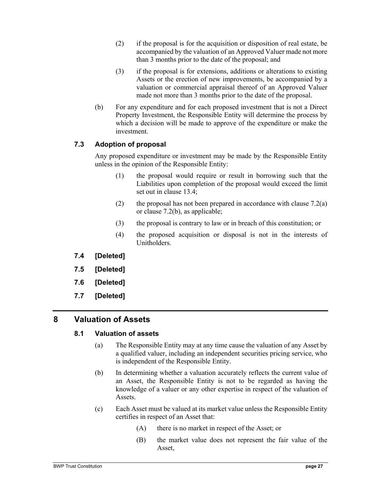- (2) if the proposal is for the acquisition or disposition of real estate, be accompanied by the valuation of an Approved Valuer made not more than 3 months prior to the date of the proposal; and
- (3) if the proposal is for extensions, additions or alterations to existing Assets or the erection of new improvements, be accompanied by a valuation or commercial appraisal thereof of an Approved Valuer made not more than 3 months prior to the date of the proposal.
- (b) For any expenditure and for each proposed investment that is not a Direct Property Investment, the Responsible Entity will determine the process by which a decision will be made to approve of the expenditure or make the investment.

# **7.3 Adoption of proposal**

Any proposed expenditure or investment may be made by the Responsible Entity unless in the opinion of the Responsible Entity:

- (1) the proposal would require or result in borrowing such that the Liabilities upon completion of the proposal would exceed the limit set out in clause 13.4;
- (2) the proposal has not been prepared in accordance with clause  $7.2(a)$ or clause 7.2(b), as applicable;
- (3) the proposal is contrary to law or in breach of this constitution; or
- (4) the proposed acquisition or disposal is not in the interests of Unitholders.
- **7.4 [Deleted]**
- **7.5 [Deleted]**
- **7.6 [Deleted]**
- **7.7 [Deleted]**

# **8 Valuation of Assets**

## **8.1 Valuation of assets**

- (a) The Responsible Entity may at any time cause the valuation of any Asset by a qualified valuer, including an independent securities pricing service, who is independent of the Responsible Entity.
- (b) In determining whether a valuation accurately reflects the current value of an Asset, the Responsible Entity is not to be regarded as having the knowledge of a valuer or any other expertise in respect of the valuation of Assets.
- (c) Each Asset must be valued at its market value unless the Responsible Entity certifies in respect of an Asset that:
	- (A) there is no market in respect of the Asset; or
	- (B) the market value does not represent the fair value of the Asset,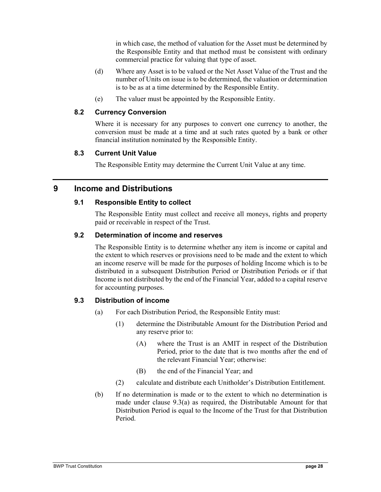in which case, the method of valuation for the Asset must be determined by the Responsible Entity and that method must be consistent with ordinary commercial practice for valuing that type of asset.

- (d) Where any Asset is to be valued or the Net Asset Value of the Trust and the number of Units on issue is to be determined, the valuation or determination is to be as at a time determined by the Responsible Entity.
- (e) The valuer must be appointed by the Responsible Entity.

# **8.2 Currency Conversion**

Where it is necessary for any purposes to convert one currency to another, the conversion must be made at a time and at such rates quoted by a bank or other financial institution nominated by the Responsible Entity.

## **8.3 Current Unit Value**

The Responsible Entity may determine the Current Unit Value at any time.

# **9 Income and Distributions**

## **9.1 Responsible Entity to collect**

The Responsible Entity must collect and receive all moneys, rights and property paid or receivable in respect of the Trust.

## **9.2 Determination of income and reserves**

The Responsible Entity is to determine whether any item is income or capital and the extent to which reserves or provisions need to be made and the extent to which an income reserve will be made for the purposes of holding Income which is to be distributed in a subsequent Distribution Period or Distribution Periods or if that Income is not distributed by the end of the Financial Year, added to a capital reserve for accounting purposes.

## **9.3 Distribution of income**

- (a) For each Distribution Period, the Responsible Entity must:
	- (1) determine the Distributable Amount for the Distribution Period and any reserve prior to:
		- (A) where the Trust is an AMIT in respect of the Distribution Period, prior to the date that is two months after the end of the relevant Financial Year; otherwise:
		- (B) the end of the Financial Year; and
	- (2) calculate and distribute each Unitholder's Distribution Entitlement.
- (b) If no determination is made or to the extent to which no determination is made under clause 9.3(a) as required, the Distributable Amount for that Distribution Period is equal to the Income of the Trust for that Distribution Period.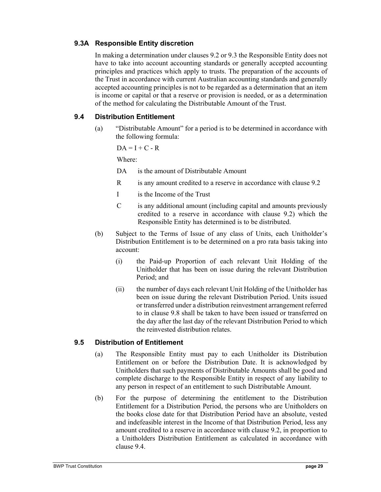# **9.3A Responsible Entity discretion**

In making a determination under clauses 9.2 or 9.3 the Responsible Entity does not have to take into account accounting standards or generally accepted accounting principles and practices which apply to trusts. The preparation of the accounts of the Trust in accordance with current Australian accounting standards and generally accepted accounting principles is not to be regarded as a determination that an item is income or capital or that a reserve or provision is needed, or as a determination of the method for calculating the Distributable Amount of the Trust.

## **9.4 Distribution Entitlement**

(a) "Distributable Amount" for a period is to be determined in accordance with the following formula:

 $DA = I + C - R$ 

Where:

DA is the amount of Distributable Amount

- R is any amount credited to a reserve in accordance with clause 9.2
- I is the Income of the Trust
- C is any additional amount (including capital and amounts previously credited to a reserve in accordance with clause 9.2) which the Responsible Entity has determined is to be distributed.
- (b) Subject to the Terms of Issue of any class of Units, each Unitholder's Distribution Entitlement is to be determined on a pro rata basis taking into account:
	- (i) the Paid-up Proportion of each relevant Unit Holding of the Unitholder that has been on issue during the relevant Distribution Period; and
	- (ii) the number of days each relevant Unit Holding of the Unitholder has been on issue during the relevant Distribution Period. Units issued or transferred under a distribution reinvestment arrangement referred to in clause 9.8 shall be taken to have been issued or transferred on the day after the last day of the relevant Distribution Period to which the reinvested distribution relates.

## **9.5 Distribution of Entitlement**

- (a) The Responsible Entity must pay to each Unitholder its Distribution Entitlement on or before the Distribution Date. It is acknowledged by Unitholders that such payments of Distributable Amounts shall be good and complete discharge to the Responsible Entity in respect of any liability to any person in respect of an entitlement to such Distributable Amount.
- (b) For the purpose of determining the entitlement to the Distribution Entitlement for a Distribution Period, the persons who are Unitholders on the books close date for that Distribution Period have an absolute, vested and indefeasible interest in the Income of that Distribution Period, less any amount credited to a reserve in accordance with clause 9.2, in proportion to a Unitholders Distribution Entitlement as calculated in accordance with clause 9.4.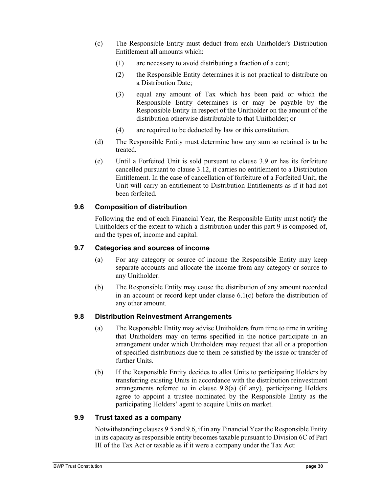- (c) The Responsible Entity must deduct from each Unitholder's Distribution Entitlement all amounts which:
	- (1) are necessary to avoid distributing a fraction of a cent;
	- (2) the Responsible Entity determines it is not practical to distribute on a Distribution Date;
	- (3) equal any amount of Tax which has been paid or which the Responsible Entity determines is or may be payable by the Responsible Entity in respect of the Unitholder on the amount of the distribution otherwise distributable to that Unitholder; or
	- (4) are required to be deducted by law or this constitution.
- (d) The Responsible Entity must determine how any sum so retained is to be treated.
- (e) Until a Forfeited Unit is sold pursuant to clause 3.9 or has its forfeiture cancelled pursuant to clause 3.12, it carries no entitlement to a Distribution Entitlement. In the case of cancellation of forfeiture of a Forfeited Unit, the Unit will carry an entitlement to Distribution Entitlements as if it had not been forfeited.

# **9.6 Composition of distribution**

Following the end of each Financial Year, the Responsible Entity must notify the Unitholders of the extent to which a distribution under this part 9 is composed of, and the types of, income and capital.

# **9.7 Categories and sources of income**

- (a) For any category or source of income the Responsible Entity may keep separate accounts and allocate the income from any category or source to any Unitholder.
- (b) The Responsible Entity may cause the distribution of any amount recorded in an account or record kept under clause 6.1(c) before the distribution of any other amount.

# **9.8 Distribution Reinvestment Arrangements**

- (a) The Responsible Entity may advise Unitholders from time to time in writing that Unitholders may on terms specified in the notice participate in an arrangement under which Unitholders may request that all or a proportion of specified distributions due to them be satisfied by the issue or transfer of further Units.
- (b) If the Responsible Entity decides to allot Units to participating Holders by transferring existing Units in accordance with the distribution reinvestment arrangements referred to in clause 9.8(a) (if any), participating Holders agree to appoint a trustee nominated by the Responsible Entity as the participating Holders' agent to acquire Units on market.

# **9.9 Trust taxed as a company**

Notwithstanding clauses 9.5 and 9.6, if in any Financial Year the Responsible Entity in its capacity as responsible entity becomes taxable pursuant to Division 6C of Part III of the Tax Act or taxable as if it were a company under the Tax Act: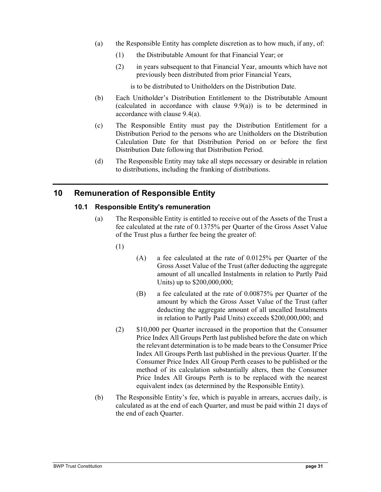- (a) the Responsible Entity has complete discretion as to how much, if any, of:
	- (1) the Distributable Amount for that Financial Year; or
	- (2) in years subsequent to that Financial Year, amounts which have not previously been distributed from prior Financial Years,
		- is to be distributed to Unitholders on the Distribution Date.
- (b) Each Unitholder's Distribution Entitlement to the Distributable Amount (calculated in accordance with clause 9.9(a)) is to be determined in accordance with clause 9.4(a).
- (c) The Responsible Entity must pay the Distribution Entitlement for a Distribution Period to the persons who are Unitholders on the Distribution Calculation Date for that Distribution Period on or before the first Distribution Date following that Distribution Period.
- (d) The Responsible Entity may take all steps necessary or desirable in relation to distributions, including the franking of distributions.

# **10 Remuneration of Responsible Entity**

# **10.1 Responsible Entity's remuneration**

- (a) The Responsible Entity is entitled to receive out of the Assets of the Trust a fee calculated at the rate of 0.1375% per Quarter of the Gross Asset Value of the Trust plus a further fee being the greater of:
	- (1)
- (A) a fee calculated at the rate of 0.0125% per Quarter of the Gross Asset Value of the Trust (after deducting the aggregate amount of all uncalled Instalments in relation to Partly Paid Units) up to \$200,000,000;
- (B) a fee calculated at the rate of 0.00875% per Quarter of the amount by which the Gross Asset Value of the Trust (after deducting the aggregate amount of all uncalled Instalments in relation to Partly Paid Units) exceeds \$200,000,000; and
- (2) \$10,000 per Quarter increased in the proportion that the Consumer Price Index All Groups Perth last published before the date on which the relevant determination is to be made bears to the Consumer Price Index All Groups Perth last published in the previous Quarter. If the Consumer Price Index All Group Perth ceases to be published or the method of its calculation substantially alters, then the Consumer Price Index All Groups Perth is to be replaced with the nearest equivalent index (as determined by the Responsible Entity).
- (b) The Responsible Entity's fee, which is payable in arrears, accrues daily, is calculated as at the end of each Quarter, and must be paid within 21 days of the end of each Quarter.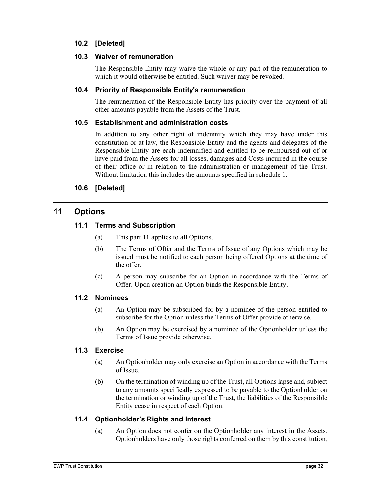# **10.2 [Deleted]**

## **10.3 Waiver of remuneration**

The Responsible Entity may waive the whole or any part of the remuneration to which it would otherwise be entitled. Such waiver may be revoked.

# **10.4 Priority of Responsible Entity's remuneration**

The remuneration of the Responsible Entity has priority over the payment of all other amounts payable from the Assets of the Trust.

## **10.5 Establishment and administration costs**

In addition to any other right of indemnity which they may have under this constitution or at law, the Responsible Entity and the agents and delegates of the Responsible Entity are each indemnified and entitled to be reimbursed out of or have paid from the Assets for all losses, damages and Costs incurred in the course of their office or in relation to the administration or management of the Trust. Without limitation this includes the amounts specified in schedule 1.

# **10.6 [Deleted]**

# **11 Options**

# **11.1 Terms and Subscription**

- (a) This part 11 applies to all Options.
- (b) The Terms of Offer and the Terms of Issue of any Options which may be issued must be notified to each person being offered Options at the time of the offer.
- (c) A person may subscribe for an Option in accordance with the Terms of Offer. Upon creation an Option binds the Responsible Entity.

## **11.2 Nominees**

- (a) An Option may be subscribed for by a nominee of the person entitled to subscribe for the Option unless the Terms of Offer provide otherwise.
- (b) An Option may be exercised by a nominee of the Optionholder unless the Terms of Issue provide otherwise.

# **11.3 Exercise**

- (a) An Optionholder may only exercise an Option in accordance with the Terms of Issue.
- (b) On the termination of winding up of the Trust, all Options lapse and, subject to any amounts specifically expressed to be payable to the Optionholder on the termination or winding up of the Trust, the liabilities of the Responsible Entity cease in respect of each Option.

# **11.4 Optionholder's Rights and Interest**

(a) An Option does not confer on the Optionholder any interest in the Assets. Optionholders have only those rights conferred on them by this constitution,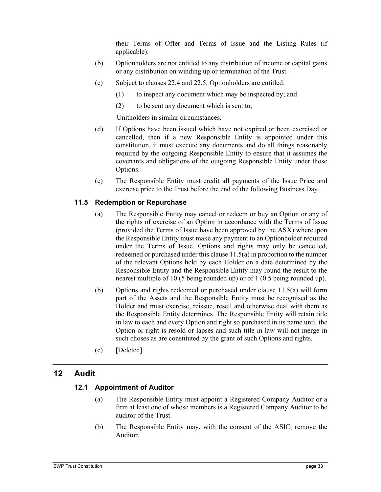their Terms of Offer and Terms of Issue and the Listing Rules (if applicable).

- (b) Optionholders are not entitled to any distribution of income or capital gains or any distribution on winding up or termination of the Trust.
- (c) Subject to clauses 22.4 and 22.5, Optionholders are entitled:
	- (1) to inspect any document which may be inspected by; and
	- (2) to be sent any document which is sent to,

Unitholders in similar circumstances.

- (d) If Options have been issued which have not expired or been exercised or cancelled, then if a new Responsible Entity is appointed under this constitution, it must execute any documents and do all things reasonably required by the outgoing Responsible Entity to ensure that it assumes the covenants and obligations of the outgoing Responsible Entity under those Options.
- (e) The Responsible Entity must credit all payments of the Issue Price and exercise price to the Trust before the end of the following Business Day.

# **11.5 Redemption or Repurchase**

- (a) The Responsible Entity may cancel or redeem or buy an Option or any of the rights of exercise of an Option in accordance with the Terms of Issue (provided the Terms of Issue have been approved by the ASX) whereupon the Responsible Entity must make any payment to an Optionholder required under the Terms of Issue. Options and rights may only be cancelled, redeemed or purchased under this clause 11.5(a) in proportion to the number of the relevant Options held by each Holder on a date determined by the Responsible Entity and the Responsible Entity may round the result to the nearest multiple of 10 (5 being rounded up) or of 1 (0.5 being rounded up).
- (b) Options and rights redeemed or purchased under clause 11.5(a) will form part of the Assets and the Responsible Entity must be recognised as the Holder and must exercise, reissue, resell and otherwise deal with them as the Responsible Entity determines. The Responsible Entity will retain title in law to each and every Option and right so purchased in its name until the Option or right is resold or lapses and such title in law will not merge in such choses as are constituted by the grant of such Options and rights.
- (c) [Deleted]

# **12 Audit**

# **12.1 Appointment of Auditor**

- (a) The Responsible Entity must appoint a Registered Company Auditor or a firm at least one of whose members is a Registered Company Auditor to be auditor of the Trust.
- (b) The Responsible Entity may, with the consent of the ASIC, remove the Auditor.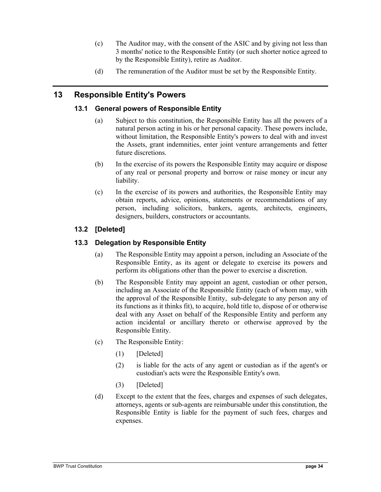- (c) The Auditor may, with the consent of the ASIC and by giving not less than 3 months' notice to the Responsible Entity (or such shorter notice agreed to by the Responsible Entity), retire as Auditor.
- (d) The remuneration of the Auditor must be set by the Responsible Entity.

# **13 Responsible Entity's Powers**

# **13.1 General powers of Responsible Entity**

- (a) Subject to this constitution, the Responsible Entity has all the powers of a natural person acting in his or her personal capacity. These powers include, without limitation, the Responsible Entity's powers to deal with and invest the Assets, grant indemnities, enter joint venture arrangements and fetter future discretions.
- (b) In the exercise of its powers the Responsible Entity may acquire or dispose of any real or personal property and borrow or raise money or incur any liability.
- (c) In the exercise of its powers and authorities, the Responsible Entity may obtain reports, advice, opinions, statements or recommendations of any person, including solicitors, bankers, agents, architects, engineers, designers, builders, constructors or accountants.

# **13.2 [Deleted]**

# **13.3 Delegation by Responsible Entity**

- (a) The Responsible Entity may appoint a person, including an Associate of the Responsible Entity, as its agent or delegate to exercise its powers and perform its obligations other than the power to exercise a discretion.
- (b) The Responsible Entity may appoint an agent, custodian or other person, including an Associate of the Responsible Entity (each of whom may, with the approval of the Responsible Entity, sub-delegate to any person any of its functions as it thinks fit), to acquire, hold title to, dispose of or otherwise deal with any Asset on behalf of the Responsible Entity and perform any action incidental or ancillary thereto or otherwise approved by the Responsible Entity.
- (c) The Responsible Entity:
	- $(1)$  [Deleted]
	- (2) is liable for the acts of any agent or custodian as if the agent's or custodian's acts were the Responsible Entity's own.
	- (3) [Deleted]
- (d) Except to the extent that the fees, charges and expenses of such delegates, attorneys, agents or sub-agents are reimbursable under this constitution, the Responsible Entity is liable for the payment of such fees, charges and expenses.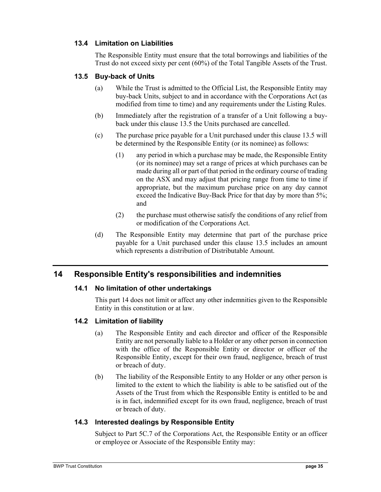# **13.4 Limitation on Liabilities**

The Responsible Entity must ensure that the total borrowings and liabilities of the Trust do not exceed sixty per cent (60%) of the Total Tangible Assets of the Trust.

# **13.5 Buy-back of Units**

- (a) While the Trust is admitted to the Official List, the Responsible Entity may buy-back Units, subject to and in accordance with the Corporations Act (as modified from time to time) and any requirements under the Listing Rules.
- (b) Immediately after the registration of a transfer of a Unit following a buyback under this clause 13.5 the Units purchased are cancelled.
- (c) The purchase price payable for a Unit purchased under this clause 13.5 will be determined by the Responsible Entity (or its nominee) as follows:
	- (1) any period in which a purchase may be made, the Responsible Entity (or its nominee) may set a range of prices at which purchases can be made during all or part of that period in the ordinary course of trading on the ASX and may adjust that pricing range from time to time if appropriate, but the maximum purchase price on any day cannot exceed the Indicative Buy-Back Price for that day by more than 5%; and
	- (2) the purchase must otherwise satisfy the conditions of any relief from or modification of the Corporations Act.
- (d) The Responsible Entity may determine that part of the purchase price payable for a Unit purchased under this clause 13.5 includes an amount which represents a distribution of Distributable Amount.

# **14 Responsible Entity's responsibilities and indemnities**

## **14.1 No limitation of other undertakings**

This part 14 does not limit or affect any other indemnities given to the Responsible Entity in this constitution or at law.

## **14.2 Limitation of liability**

- (a) The Responsible Entity and each director and officer of the Responsible Entity are not personally liable to a Holder or any other person in connection with the office of the Responsible Entity or director or officer of the Responsible Entity, except for their own fraud, negligence, breach of trust or breach of duty.
- (b) The liability of the Responsible Entity to any Holder or any other person is limited to the extent to which the liability is able to be satisfied out of the Assets of the Trust from which the Responsible Entity is entitled to be and is in fact, indemnified except for its own fraud, negligence, breach of trust or breach of duty.

## **14.3 Interested dealings by Responsible Entity**

Subject to Part 5C.7 of the Corporations Act, the Responsible Entity or an officer or employee or Associate of the Responsible Entity may: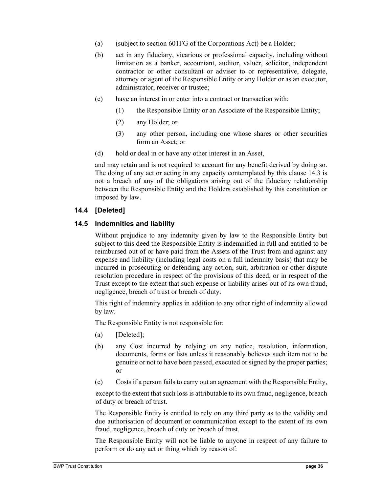- (a) (subject to section 601FG of the Corporations Act) be a Holder;
- (b) act in any fiduciary, vicarious or professional capacity, including without limitation as a banker, accountant, auditor, valuer, solicitor, independent contractor or other consultant or adviser to or representative, delegate, attorney or agent of the Responsible Entity or any Holder or as an executor, administrator, receiver or trustee;
- (c) have an interest in or enter into a contract or transaction with:
	- (1) the Responsible Entity or an Associate of the Responsible Entity;
	- (2) any Holder; or
	- (3) any other person, including one whose shares or other securities form an Asset; or
- (d) hold or deal in or have any other interest in an Asset,

and may retain and is not required to account for any benefit derived by doing so. The doing of any act or acting in any capacity contemplated by this clause 14.3 is not a breach of any of the obligations arising out of the fiduciary relationship between the Responsible Entity and the Holders established by this constitution or imposed by law.

# **14.4 [Deleted]**

# **14.5 Indemnities and liability**

Without prejudice to any indemnity given by law to the Responsible Entity but subject to this deed the Responsible Entity is indemnified in full and entitled to be reimbursed out of or have paid from the Assets of the Trust from and against any expense and liability (including legal costs on a full indemnity basis) that may be incurred in prosecuting or defending any action, suit, arbitration or other dispute resolution procedure in respect of the provisions of this deed, or in respect of the Trust except to the extent that such expense or liability arises out of its own fraud, negligence, breach of trust or breach of duty.

This right of indemnity applies in addition to any other right of indemnity allowed by law.

The Responsible Entity is not responsible for:

- (a) [Deleted];
- (b) any Cost incurred by relying on any notice, resolution, information, documents, forms or lists unless it reasonably believes such item not to be genuine or not to have been passed, executed or signed by the proper parties; or
- (c) Costs if a person fails to carry out an agreement with the Responsible Entity,

except to the extent that such loss is attributable to its own fraud, negligence, breach of duty or breach of trust.

The Responsible Entity is entitled to rely on any third party as to the validity and due authorisation of document or communication except to the extent of its own fraud, negligence, breach of duty or breach of trust.

The Responsible Entity will not be liable to anyone in respect of any failure to perform or do any act or thing which by reason of: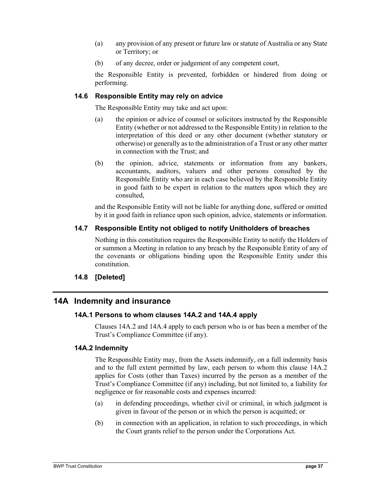- (a) any provision of any present or future law or statute of Australia or any State or Territory; or
- (b) of any decree, order or judgement of any competent court,

the Responsible Entity is prevented, forbidden or hindered from doing or performing.

## **14.6 Responsible Entity may rely on advice**

The Responsible Entity may take and act upon:

- (a) the opinion or advice of counsel or solicitors instructed by the Responsible Entity (whether or not addressed to the Responsible Entity) in relation to the interpretation of this deed or any other document (whether statutory or otherwise) or generally as to the administration of a Trust or any other matter in connection with the Trust; and
- (b) the opinion, advice, statements or information from any bankers, accountants, auditors, valuers and other persons consulted by the Responsible Entity who are in each case believed by the Responsible Entity in good faith to be expert in relation to the matters upon which they are consulted,

and the Responsible Entity will not be liable for anything done, suffered or omitted by it in good faith in reliance upon such opinion, advice, statements or information.

# **14.7 Responsible Entity not obliged to notify Unitholders of breaches**

Nothing in this constitution requires the Responsible Entity to notify the Holders of or summon a Meeting in relation to any breach by the Responsible Entity of any of the covenants or obligations binding upon the Responsible Entity under this constitution.

## **14.8 [Deleted]**

# **14A Indemnity and insurance**

## **14A.1 Persons to whom clauses 14A.2 and 14A.4 apply**

Clauses 14A.2 and 14A.4 apply to each person who is or has been a member of the Trust's Compliance Committee (if any).

## **14A.2 Indemnity**

The Responsible Entity may, from the Assets indemnify, on a full indemnity basis and to the full extent permitted by law, each person to whom this clause 14A.2 applies for Costs (other than Taxes) incurred by the person as a member of the Trust's Compliance Committee (if any) including, but not limited to, a liability for negligence or for reasonable costs and expenses incurred:

- (a) in defending proceedings, whether civil or criminal, in which judgment is given in favour of the person or in which the person is acquitted; or
- (b) in connection with an application, in relation to such proceedings, in which the Court grants relief to the person under the Corporations Act.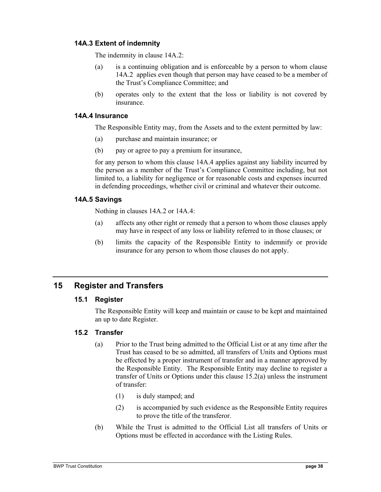# **14A.3 Extent of indemnity**

The indemnity in clause 14A.2:

- (a) is a continuing obligation and is enforceable by a person to whom clause 14A.2 applies even though that person may have ceased to be a member of the Trust's Compliance Committee; and
- (b) operates only to the extent that the loss or liability is not covered by insurance.

#### **14A.4 Insurance**

The Responsible Entity may, from the Assets and to the extent permitted by law:

- (a) purchase and maintain insurance; or
- (b) pay or agree to pay a premium for insurance,

for any person to whom this clause 14A.4 applies against any liability incurred by the person as a member of the Trust's Compliance Committee including, but not limited to, a liability for negligence or for reasonable costs and expenses incurred in defending proceedings, whether civil or criminal and whatever their outcome.

## **14A.5 Savings**

Nothing in clauses 14A.2 or 14A.4:

- (a) affects any other right or remedy that a person to whom those clauses apply may have in respect of any loss or liability referred to in those clauses; or
- (b) limits the capacity of the Responsible Entity to indemnify or provide insurance for any person to whom those clauses do not apply.

# **15 Register and Transfers**

## **15.1 Register**

The Responsible Entity will keep and maintain or cause to be kept and maintained an up to date Register.

## **15.2 Transfer**

- (a) Prior to the Trust being admitted to the Official List or at any time after the Trust has ceased to be so admitted, all transfers of Units and Options must be effected by a proper instrument of transfer and in a manner approved by the Responsible Entity. The Responsible Entity may decline to register a transfer of Units or Options under this clause 15.2(a) unless the instrument of transfer:
	- (1) is duly stamped; and
	- (2) is accompanied by such evidence as the Responsible Entity requires to prove the title of the transferor.
- (b) While the Trust is admitted to the Official List all transfers of Units or Options must be effected in accordance with the Listing Rules.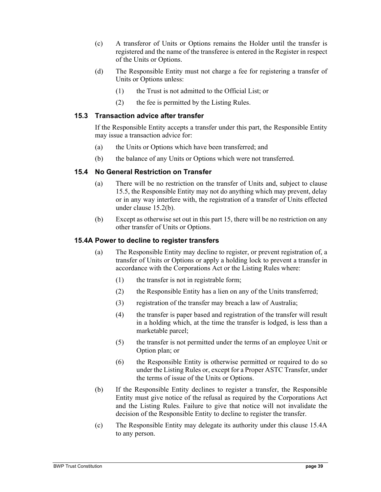- (c) A transferor of Units or Options remains the Holder until the transfer is registered and the name of the transferee is entered in the Register in respect of the Units or Options.
- (d) The Responsible Entity must not charge a fee for registering a transfer of Units or Options unless:
	- (1) the Trust is not admitted to the Official List; or
	- (2) the fee is permitted by the Listing Rules.

#### **15.3 Transaction advice after transfer**

If the Responsible Entity accepts a transfer under this part, the Responsible Entity may issue a transaction advice for:

- (a) the Units or Options which have been transferred; and
- (b) the balance of any Units or Options which were not transferred.

## **15.4 No General Restriction on Transfer**

- (a) There will be no restriction on the transfer of Units and, subject to clause 15.5, the Responsible Entity may not do anything which may prevent, delay or in any way interfere with, the registration of a transfer of Units effected under clause 15.2(b).
- (b) Except as otherwise set out in this part 15, there will be no restriction on any other transfer of Units or Options.

#### **15.4A Power to decline to register transfers**

- (a) The Responsible Entity may decline to register, or prevent registration of, a transfer of Units or Options or apply a holding lock to prevent a transfer in accordance with the Corporations Act or the Listing Rules where:
	- (1) the transfer is not in registrable form;
	- (2) the Responsible Entity has a lien on any of the Units transferred;
	- (3) registration of the transfer may breach a law of Australia;
	- (4) the transfer is paper based and registration of the transfer will result in a holding which, at the time the transfer is lodged, is less than a marketable parcel;
	- (5) the transfer is not permitted under the terms of an employee Unit or Option plan; or
	- (6) the Responsible Entity is otherwise permitted or required to do so under the Listing Rules or, except for a Proper ASTC Transfer, under the terms of issue of the Units or Options.
- (b) If the Responsible Entity declines to register a transfer, the Responsible Entity must give notice of the refusal as required by the Corporations Act and the Listing Rules. Failure to give that notice will not invalidate the decision of the Responsible Entity to decline to register the transfer.
- (c) The Responsible Entity may delegate its authority under this clause 15.4A to any person.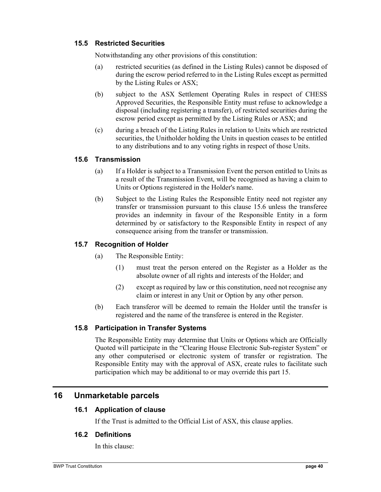# **15.5 Restricted Securities**

Notwithstanding any other provisions of this constitution:

- (a) restricted securities (as defined in the Listing Rules) cannot be disposed of during the escrow period referred to in the Listing Rules except as permitted by the Listing Rules or ASX;
- (b) subject to the ASX Settlement Operating Rules in respect of CHESS Approved Securities, the Responsible Entity must refuse to acknowledge a disposal (including registering a transfer), of restricted securities during the escrow period except as permitted by the Listing Rules or ASX; and
- (c) during a breach of the Listing Rules in relation to Units which are restricted securities, the Unitholder holding the Units in question ceases to be entitled to any distributions and to any voting rights in respect of those Units.

## **15.6 Transmission**

- (a) If a Holder is subject to a Transmission Event the person entitled to Units as a result of the Transmission Event, will be recognised as having a claim to Units or Options registered in the Holder's name.
- (b) Subject to the Listing Rules the Responsible Entity need not register any transfer or transmission pursuant to this clause 15.6 unless the transferee provides an indemnity in favour of the Responsible Entity in a form determined by or satisfactory to the Responsible Entity in respect of any consequence arising from the transfer or transmission.

# **15.7 Recognition of Holder**

- (a) The Responsible Entity:
	- (1) must treat the person entered on the Register as a Holder as the absolute owner of all rights and interests of the Holder; and
	- (2) except as required by law or this constitution, need not recognise any claim or interest in any Unit or Option by any other person.
- (b) Each transferor will be deemed to remain the Holder until the transfer is registered and the name of the transferee is entered in the Register.

## **15.8 Participation in Transfer Systems**

The Responsible Entity may determine that Units or Options which are Officially Quoted will participate in the "Clearing House Electronic Sub-register System" or any other computerised or electronic system of transfer or registration. The Responsible Entity may with the approval of ASX, create rules to facilitate such participation which may be additional to or may override this part 15.

# **16 Unmarketable parcels**

## **16.1 Application of clause**

If the Trust is admitted to the Official List of ASX, this clause applies.

## **16.2 Definitions**

In this clause: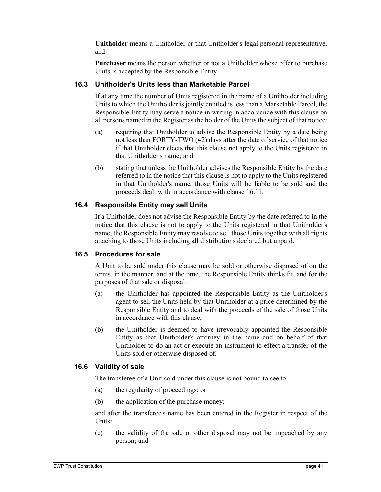**Unitholder** means a Unitholder or that Unitholder's legal personal representative; and

**Purchaser** means the person whether or not a Unitholder whose offer to purchase Units is accepted by the Responsible Entity.

# **16.3 Unitholder's Units less than Marketable Parcel**

If at any time the number of Units registered in the name of a Unitholder including Units to which the Unitholder is jointly entitled is less than a Marketable Parcel, the Responsible Entity may serve a notice in writing in accordance with this clause on all persons named in the Register as the holder of the Units the subject of that notice:

- (a) requiring that Unitholder to advise the Responsible Entity by a date being not less than FORTY-TWO (42) days after the date of service of that notice if that Unitholder elects that this clause not apply to the Units registered in that Unitholder's name; and
- (b) stating that unless the Unitholder advises the Responsible Entity by the date referred to in the notice that this clause is not to apply to the Units registered in that Unitholder's name, those Units will be liable to be sold and the proceeds dealt with in accordance with clause 16.11.

# **16.4 Responsible Entity may sell Units**

If a Unitholder does not advise the Responsible Entity by the date referred to in the notice that this clause is not to apply to the Units registered in that Unitholder's name, the Responsible Entity may resolve to sell those Units together with all rights attaching to those Units including all distributions declared but unpaid.

## **16.5 Procedures for sale**

A Unit to be sold under this clause may be sold or otherwise disposed of on the terms, in the manner, and at the time, the Responsible Entity thinks fit, and for the purposes of that sale or disposal:

- (a) the Unitholder has appointed the Responsible Entity as the Unitholder's agent to sell the Units held by that Unitholder at a price determined by the Responsible Entity and to deal with the proceeds of the sale of those Units in accordance with this clause;
- (b) the Unitholder is deemed to have irrevocably appointed the Responsible Entity as that Unitholder's attorney in the name and on behalf of that Unitholder to do an act or execute an instrument to effect a transfer of the Units sold or otherwise disposed of.

## **16.6 Validity of sale**

The transferee of a Unit sold under this clause is not bound to see to:

- (a) the regularity of proceedings; or
- (b) the application of the purchase money;

and after the transferee's name has been entered in the Register in respect of the Units:

(c) the validity of the sale or other disposal may not be impeached by any person; and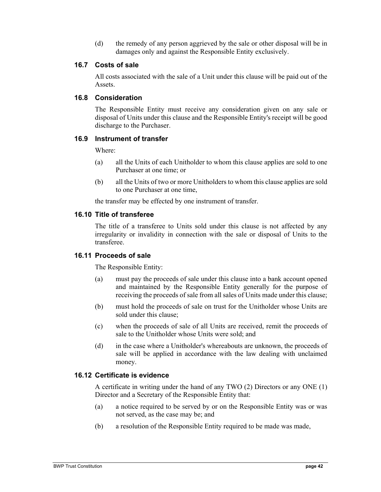(d) the remedy of any person aggrieved by the sale or other disposal will be in damages only and against the Responsible Entity exclusively.

## **16.7 Costs of sale**

All costs associated with the sale of a Unit under this clause will be paid out of the Assets.

#### **16.8 Consideration**

The Responsible Entity must receive any consideration given on any sale or disposal of Units under this clause and the Responsible Entity's receipt will be good discharge to the Purchaser.

#### **16.9 Instrument of transfer**

Where:

- (a) all the Units of each Unitholder to whom this clause applies are sold to one Purchaser at one time; or
- (b) all the Units of two or more Unitholders to whom this clause applies are sold to one Purchaser at one time,

the transfer may be effected by one instrument of transfer.

#### **16.10 Title of transferee**

The title of a transferee to Units sold under this clause is not affected by any irregularity or invalidity in connection with the sale or disposal of Units to the transferee.

#### **16.11 Proceeds of sale**

The Responsible Entity:

- (a) must pay the proceeds of sale under this clause into a bank account opened and maintained by the Responsible Entity generally for the purpose of receiving the proceeds of sale from all sales of Units made under this clause;
- (b) must hold the proceeds of sale on trust for the Unitholder whose Units are sold under this clause;
- (c) when the proceeds of sale of all Units are received, remit the proceeds of sale to the Unitholder whose Units were sold; and
- (d) in the case where a Unitholder's whereabouts are unknown, the proceeds of sale will be applied in accordance with the law dealing with unclaimed money.

## **16.12 Certificate is evidence**

A certificate in writing under the hand of any TWO (2) Directors or any ONE (1) Director and a Secretary of the Responsible Entity that:

- (a) a notice required to be served by or on the Responsible Entity was or was not served, as the case may be; and
- (b) a resolution of the Responsible Entity required to be made was made,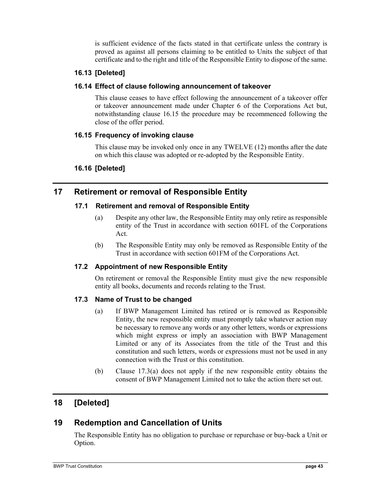is sufficient evidence of the facts stated in that certificate unless the contrary is proved as against all persons claiming to be entitled to Units the subject of that certificate and to the right and title of the Responsible Entity to dispose of the same.

# **16.13 [Deleted]**

## **16.14 Effect of clause following announcement of takeover**

This clause ceases to have effect following the announcement of a takeover offer or takeover announcement made under Chapter 6 of the Corporations Act but, notwithstanding clause 16.15 the procedure may be recommenced following the close of the offer period.

## **16.15 Frequency of invoking clause**

This clause may be invoked only once in any TWELVE (12) months after the date on which this clause was adopted or re-adopted by the Responsible Entity.

# **16.16 [Deleted]**

# **17 Retirement or removal of Responsible Entity**

# **17.1 Retirement and removal of Responsible Entity**

- (a) Despite any other law, the Responsible Entity may only retire as responsible entity of the Trust in accordance with section 601FL of the Corporations Act.
- (b) The Responsible Entity may only be removed as Responsible Entity of the Trust in accordance with section 601FM of the Corporations Act.

## **17.2 Appointment of new Responsible Entity**

On retirement or removal the Responsible Entity must give the new responsible entity all books, documents and records relating to the Trust.

# **17.3 Name of Trust to be changed**

- (a) If BWP Management Limited has retired or is removed as Responsible Entity, the new responsible entity must promptly take whatever action may be necessary to remove any words or any other letters, words or expressions which might express or imply an association with BWP Management Limited or any of its Associates from the title of the Trust and this constitution and such letters, words or expressions must not be used in any connection with the Trust or this constitution.
- (b) Clause 17.3(a) does not apply if the new responsible entity obtains the consent of BWP Management Limited not to take the action there set out.

# **18 [Deleted]**

# **19 Redemption and Cancellation of Units**

The Responsible Entity has no obligation to purchase or repurchase or buy-back a Unit or Option.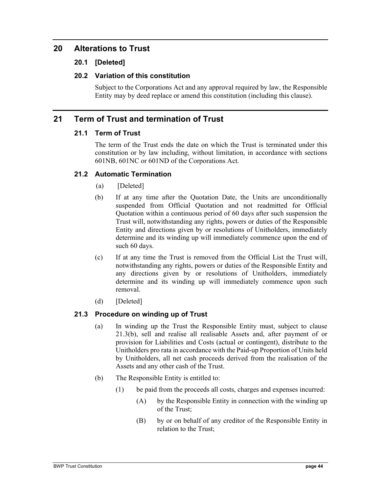# **20 Alterations to Trust**

# **20.1 [Deleted]**

# **20.2 Variation of this constitution**

Subject to the Corporations Act and any approval required by law, the Responsible Entity may by deed replace or amend this constitution (including this clause).

# **21 Term of Trust and termination of Trust**

## **21.1 Term of Trust**

The term of the Trust ends the date on which the Trust is terminated under this constitution or by law including, without limitation, in accordance with sections 601NB, 601NC or 601ND of the Corporations Act.

# **21.2 Automatic Termination**

- (a) [Deleted]
- (b) If at any time after the Quotation Date, the Units are unconditionally suspended from Official Quotation and not readmitted for Official Quotation within a continuous period of 60 days after such suspension the Trust will, notwithstanding any rights, powers or duties of the Responsible Entity and directions given by or resolutions of Unitholders, immediately determine and its winding up will immediately commence upon the end of such 60 days.
- (c) If at any time the Trust is removed from the Official List the Trust will, notwithstanding any rights, powers or duties of the Responsible Entity and any directions given by or resolutions of Unitholders, immediately determine and its winding up will immediately commence upon such removal.
- (d) [Deleted]

# **21.3 Procedure on winding up of Trust**

- (a) In winding up the Trust the Responsible Entity must, subject to clause 21.3(b), sell and realise all realisable Assets and, after payment of or provision for Liabilities and Costs (actual or contingent), distribute to the Unitholders pro rata in accordance with the Paid-up Proportion of Units held by Unitholders, all net cash proceeds derived from the realisation of the Assets and any other cash of the Trust.
- (b) The Responsible Entity is entitled to:
	- (1) be paid from the proceeds all costs, charges and expenses incurred:
		- (A) by the Responsible Entity in connection with the winding up of the Trust;
		- (B) by or on behalf of any creditor of the Responsible Entity in relation to the Trust;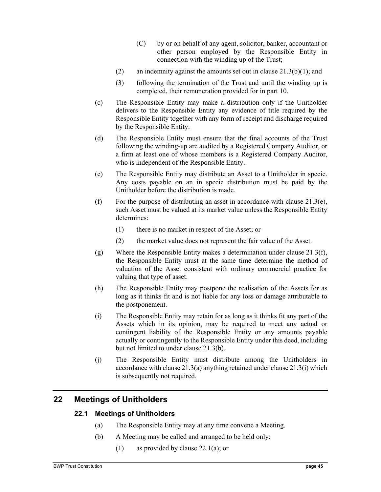- (C) by or on behalf of any agent, solicitor, banker, accountant or other person employed by the Responsible Entity in connection with the winding up of the Trust;
- (2) an indemnity against the amounts set out in clause  $21.3(b)(1)$ ; and
- (3) following the termination of the Trust and until the winding up is completed, their remuneration provided for in part 10.
- (c) The Responsible Entity may make a distribution only if the Unitholder delivers to the Responsible Entity any evidence of title required by the Responsible Entity together with any form of receipt and discharge required by the Responsible Entity.
- (d) The Responsible Entity must ensure that the final accounts of the Trust following the winding-up are audited by a Registered Company Auditor, or a firm at least one of whose members is a Registered Company Auditor, who is independent of the Responsible Entity.
- (e) The Responsible Entity may distribute an Asset to a Unitholder in specie. Any costs payable on an in specie distribution must be paid by the Unitholder before the distribution is made.
- (f) For the purpose of distributing an asset in accordance with clause 21.3(e), such Asset must be valued at its market value unless the Responsible Entity determines:
	- (1) there is no market in respect of the Asset; or
	- (2) the market value does not represent the fair value of the Asset.
- (g) Where the Responsible Entity makes a determination under clause 21.3(f), the Responsible Entity must at the same time determine the method of valuation of the Asset consistent with ordinary commercial practice for valuing that type of asset.
- (h) The Responsible Entity may postpone the realisation of the Assets for as long as it thinks fit and is not liable for any loss or damage attributable to the postponement.
- (i) The Responsible Entity may retain for as long as it thinks fit any part of the Assets which in its opinion, may be required to meet any actual or contingent liability of the Responsible Entity or any amounts payable actually or contingently to the Responsible Entity under this deed, including but not limited to under clause 21.3(b).
- (j) The Responsible Entity must distribute among the Unitholders in accordance with clause 21.3(a) anything retained under clause 21.3(i) which is subsequently not required.

# **22 Meetings of Unitholders**

# **22.1 Meetings of Unitholders**

- (a) The Responsible Entity may at any time convene a Meeting.
- (b) A Meeting may be called and arranged to be held only:
	- (1) as provided by clause 22.1(a); or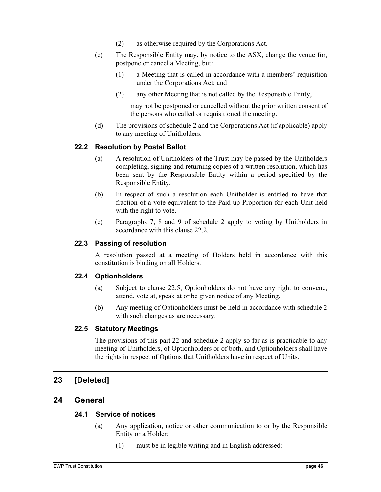- (2) as otherwise required by the Corporations Act.
- (c) The Responsible Entity may, by notice to the ASX, change the venue for, postpone or cancel a Meeting, but:
	- (1) a Meeting that is called in accordance with a members' requisition under the Corporations Act; and
	- (2) any other Meeting that is not called by the Responsible Entity,

may not be postponed or cancelled without the prior written consent of the persons who called or requisitioned the meeting.

(d) The provisions of schedule 2 and the Corporations Act (if applicable) apply to any meeting of Unitholders.

# **22.2 Resolution by Postal Ballot**

- (a) A resolution of Unitholders of the Trust may be passed by the Unitholders completing, signing and returning copies of a written resolution, which has been sent by the Responsible Entity within a period specified by the Responsible Entity.
- (b) In respect of such a resolution each Unitholder is entitled to have that fraction of a vote equivalent to the Paid-up Proportion for each Unit held with the right to vote.
- (c) Paragraphs 7, 8 and 9 of schedule 2 apply to voting by Unitholders in accordance with this clause 22.2.

## **22.3 Passing of resolution**

A resolution passed at a meeting of Holders held in accordance with this constitution is binding on all Holders.

## **22.4 Optionholders**

- (a) Subject to clause 22.5, Optionholders do not have any right to convene, attend, vote at, speak at or be given notice of any Meeting.
- (b) Any meeting of Optionholders must be held in accordance with schedule 2 with such changes as are necessary.

## **22.5 Statutory Meetings**

The provisions of this part 22 and schedule 2 apply so far as is practicable to any meeting of Unitholders, of Optionholders or of both, and Optionholders shall have the rights in respect of Options that Unitholders have in respect of Units.

# **23 [Deleted]**

# **24 General**

## **24.1 Service of notices**

- (a) Any application, notice or other communication to or by the Responsible Entity or a Holder:
	- (1) must be in legible writing and in English addressed: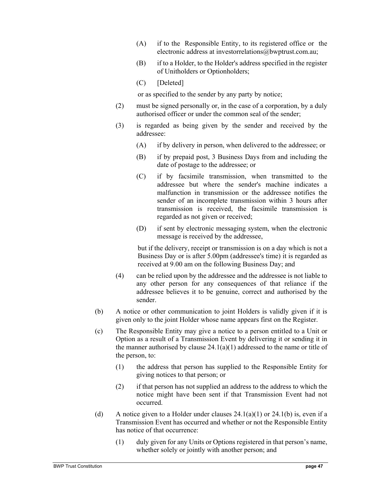- (A) if to the Responsible Entity, to its registered office or the electronic address at investorrelations@bwptrust.com.au;
- (B) if to a Holder, to the Holder's address specified in the register of Unitholders or Optionholders;
- (C) [Deleted]

or as specified to the sender by any party by notice;

- (2) must be signed personally or, in the case of a corporation, by a duly authorised officer or under the common seal of the sender;
- (3) is regarded as being given by the sender and received by the addressee:
	- (A) if by delivery in person, when delivered to the addressee; or
	- (B) if by prepaid post, 3 Business Days from and including the date of postage to the addressee; or
	- (C) if by facsimile transmission, when transmitted to the addressee but where the sender's machine indicates a malfunction in transmission or the addressee notifies the sender of an incomplete transmission within 3 hours after transmission is received, the facsimile transmission is regarded as not given or received;
	- (D) if sent by electronic messaging system, when the electronic message is received by the addressee,

but if the delivery, receipt or transmission is on a day which is not a Business Day or is after 5.00pm (addressee's time) it is regarded as received at 9.00 am on the following Business Day; and

- (4) can be relied upon by the addressee and the addressee is not liable to any other person for any consequences of that reliance if the addressee believes it to be genuine, correct and authorised by the sender.
- (b) A notice or other communication to joint Holders is validly given if it is given only to the joint Holder whose name appears first on the Register.
- (c) The Responsible Entity may give a notice to a person entitled to a Unit or Option as a result of a Transmission Event by delivering it or sending it in the manner authorised by clause  $24.1(a)(1)$  addressed to the name or title of the person, to:
	- (1) the address that person has supplied to the Responsible Entity for giving notices to that person; or
	- (2) if that person has not supplied an address to the address to which the notice might have been sent if that Transmission Event had not occurred.
- (d) A notice given to a Holder under clauses  $24.1(a)(1)$  or  $24.1(b)$  is, even if a Transmission Event has occurred and whether or not the Responsible Entity has notice of that occurrence:
	- (1) duly given for any Units or Options registered in that person's name, whether solely or jointly with another person; and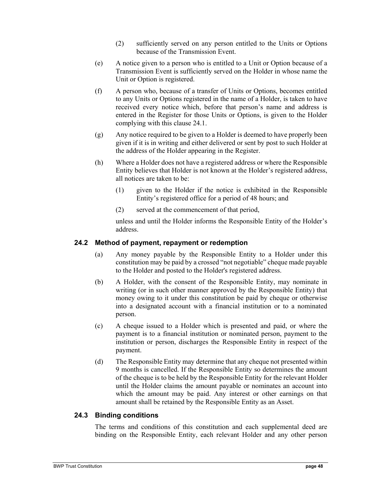- (2) sufficiently served on any person entitled to the Units or Options because of the Transmission Event.
- (e) A notice given to a person who is entitled to a Unit or Option because of a Transmission Event is sufficiently served on the Holder in whose name the Unit or Option is registered.
- (f) A person who, because of a transfer of Units or Options, becomes entitled to any Units or Options registered in the name of a Holder, is taken to have received every notice which, before that person's name and address is entered in the Register for those Units or Options, is given to the Holder complying with this clause 24.1.
- (g) Any notice required to be given to a Holder is deemed to have properly been given if it is in writing and either delivered or sent by post to such Holder at the address of the Holder appearing in the Register.
- (h) Where a Holder does not have a registered address or where the Responsible Entity believes that Holder is not known at the Holder's registered address, all notices are taken to be:
	- (1) given to the Holder if the notice is exhibited in the Responsible Entity's registered office for a period of 48 hours; and
	- (2) served at the commencement of that period,

unless and until the Holder informs the Responsible Entity of the Holder's address.

# **24.2 Method of payment, repayment or redemption**

- (a) Any money payable by the Responsible Entity to a Holder under this constitution may be paid by a crossed "not negotiable" cheque made payable to the Holder and posted to the Holder's registered address.
- (b) A Holder, with the consent of the Responsible Entity, may nominate in writing (or in such other manner approved by the Responsible Entity) that money owing to it under this constitution be paid by cheque or otherwise into a designated account with a financial institution or to a nominated person.
- (c) A cheque issued to a Holder which is presented and paid, or where the payment is to a financial institution or nominated person, payment to the institution or person, discharges the Responsible Entity in respect of the payment.
- (d) The Responsible Entity may determine that any cheque not presented within 9 months is cancelled. If the Responsible Entity so determines the amount of the cheque is to be held by the Responsible Entity for the relevant Holder until the Holder claims the amount payable or nominates an account into which the amount may be paid. Any interest or other earnings on that amount shall be retained by the Responsible Entity as an Asset.

# **24.3 Binding conditions**

The terms and conditions of this constitution and each supplemental deed are binding on the Responsible Entity, each relevant Holder and any other person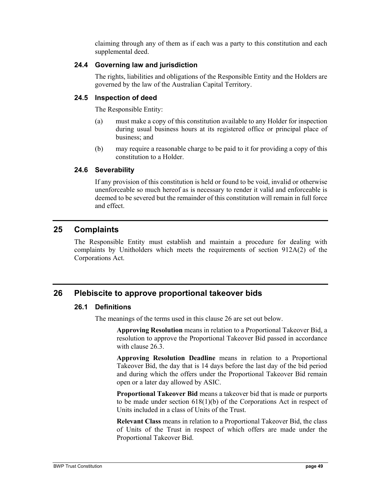claiming through any of them as if each was a party to this constitution and each supplemental deed.

## **24.4 Governing law and jurisdiction**

The rights, liabilities and obligations of the Responsible Entity and the Holders are governed by the law of the Australian Capital Territory.

# **24.5 Inspection of deed**

The Responsible Entity:

- (a) must make a copy of this constitution available to any Holder for inspection during usual business hours at its registered office or principal place of business; and
- (b) may require a reasonable charge to be paid to it for providing a copy of this constitution to a Holder.

# **24.6 Severability**

If any provision of this constitution is held or found to be void, invalid or otherwise unenforceable so much hereof as is necessary to render it valid and enforceable is deemed to be severed but the remainder of this constitution will remain in full force and effect.

# **25 Complaints**

The Responsible Entity must establish and maintain a procedure for dealing with complaints by Unitholders which meets the requirements of section 912A(2) of the Corporations Act.

# **26 Plebiscite to approve proportional takeover bids**

## **26.1 Definitions**

The meanings of the terms used in this clause 26 are set out below.

**Approving Resolution** means in relation to a Proportional Takeover Bid, a resolution to approve the Proportional Takeover Bid passed in accordance with clause 26.3.

**Approving Resolution Deadline** means in relation to a Proportional Takeover Bid, the day that is 14 days before the last day of the bid period and during which the offers under the Proportional Takeover Bid remain open or a later day allowed by ASIC.

**Proportional Takeover Bid** means a takeover bid that is made or purports to be made under section 618(1)(b) of the Corporations Act in respect of Units included in a class of Units of the Trust.

**Relevant Class** means in relation to a Proportional Takeover Bid, the class of Units of the Trust in respect of which offers are made under the Proportional Takeover Bid.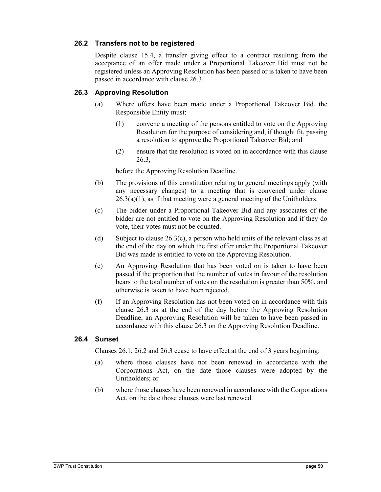## **26.2 Transfers not to be registered**

Despite clause 15.4, a transfer giving effect to a contract resulting from the acceptance of an offer made under a Proportional Takeover Bid must not be registered unless an Approving Resolution has been passed or is taken to have been passed in accordance with clause 26.3.

# **26.3 Approving Resolution**

- (a) Where offers have been made under a Proportional Takeover Bid, the Responsible Entity must:
	- (1) convene a meeting of the persons entitled to vote on the Approving Resolution for the purpose of considering and, if thought fit, passing a resolution to approve the Proportional Takeover Bid; and
	- (2) ensure that the resolution is voted on in accordance with this clause 26.3,

before the Approving Resolution Deadline.

- (b) The provisions of this constitution relating to general meetings apply (with any necessary changes) to a meeting that is convened under clause 26.3(a)(1), as if that meeting were a general meeting of the Unitholders.
- (c) The bidder under a Proportional Takeover Bid and any associates of the bidder are not entitled to vote on the Approving Resolution and if they do vote, their votes must not be counted.
- (d) Subject to clause 26.3(c), a person who held units of the relevant class as at the end of the day on which the first offer under the Proportional Takeover Bid was made is entitled to vote on the Approving Resolution.
- (e) An Approving Resolution that has been voted on is taken to have been passed if the proportion that the number of votes in favour of the resolution bears to the total number of votes on the resolution is greater than 50%, and otherwise is taken to have been rejected.
- (f) If an Approving Resolution has not been voted on in accordance with this clause 26.3 as at the end of the day before the Approving Resolution Deadline, an Approving Resolution will be taken to have been passed in accordance with this clause 26.3 on the Approving Resolution Deadline.

## **26.4 Sunset**

Clauses 26.1, 26.2 and 26.3 cease to have effect at the end of 3 years beginning:

- (a) where those clauses have not been renewed in accordance with the Corporations Act, on the date those clauses were adopted by the Unitholders; or
- (b) where those clauses have been renewed in accordance with the Corporations Act, on the date those clauses were last renewed.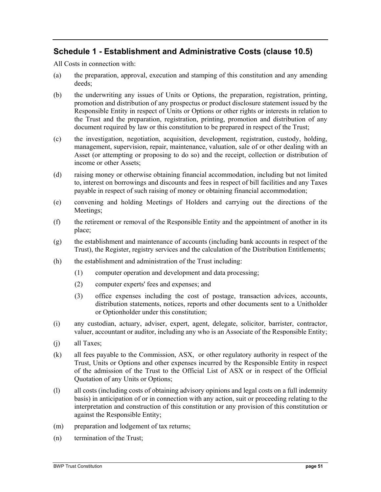# **Schedule 1 - Establishment and Administrative Costs (clause 10.5)**

All Costs in connection with:

- (a) the preparation, approval, execution and stamping of this constitution and any amending deeds;
- (b) the underwriting any issues of Units or Options, the preparation, registration, printing, promotion and distribution of any prospectus or product disclosure statement issued by the Responsible Entity in respect of Units or Options or other rights or interests in relation to the Trust and the preparation, registration, printing, promotion and distribution of any document required by law or this constitution to be prepared in respect of the Trust;
- (c) the investigation, negotiation, acquisition, development, registration, custody, holding, management, supervision, repair, maintenance, valuation, sale of or other dealing with an Asset (or attempting or proposing to do so) and the receipt, collection or distribution of income or other Assets;
- (d) raising money or otherwise obtaining financial accommodation, including but not limited to, interest on borrowings and discounts and fees in respect of bill facilities and any Taxes payable in respect of such raising of money or obtaining financial accommodation;
- (e) convening and holding Meetings of Holders and carrying out the directions of the Meetings;
- (f) the retirement or removal of the Responsible Entity and the appointment of another in its place;
- (g) the establishment and maintenance of accounts (including bank accounts in respect of the Trust), the Register, registry services and the calculation of the Distribution Entitlements;
- (h) the establishment and administration of the Trust including:
	- (1) computer operation and development and data processing;
	- (2) computer experts' fees and expenses; and
	- (3) office expenses including the cost of postage, transaction advices, accounts, distribution statements, notices, reports and other documents sent to a Unitholder or Optionholder under this constitution;
- (i) any custodian, actuary, adviser, expert, agent, delegate, solicitor, barrister, contractor, valuer, accountant or auditor, including any who is an Associate of the Responsible Entity;
- (j) all Taxes;
- (k) all fees payable to the Commission, ASX, or other regulatory authority in respect of the Trust, Units or Options and other expenses incurred by the Responsible Entity in respect of the admission of the Trust to the Official List of ASX or in respect of the Official Quotation of any Units or Options;
- (l) all costs (including costs of obtaining advisory opinions and legal costs on a full indemnity basis) in anticipation of or in connection with any action, suit or proceeding relating to the interpretation and construction of this constitution or any provision of this constitution or against the Responsible Entity;
- (m) preparation and lodgement of tax returns;
- (n) termination of the Trust;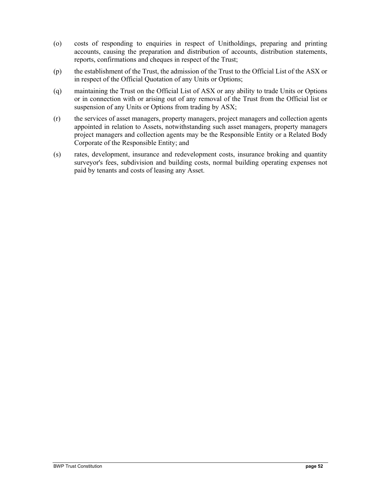- (o) costs of responding to enquiries in respect of Unitholdings, preparing and printing accounts, causing the preparation and distribution of accounts, distribution statements, reports, confirmations and cheques in respect of the Trust;
- (p) the establishment of the Trust, the admission of the Trust to the Official List of the ASX or in respect of the Official Quotation of any Units or Options;
- (q) maintaining the Trust on the Official List of ASX or any ability to trade Units or Options or in connection with or arising out of any removal of the Trust from the Official list or suspension of any Units or Options from trading by ASX;
- (r) the services of asset managers, property managers, project managers and collection agents appointed in relation to Assets, notwithstanding such asset managers, property managers project managers and collection agents may be the Responsible Entity or a Related Body Corporate of the Responsible Entity; and
- (s) rates, development, insurance and redevelopment costs, insurance broking and quantity surveyor's fees, subdivision and building costs, normal building operating expenses not paid by tenants and costs of leasing any Asset.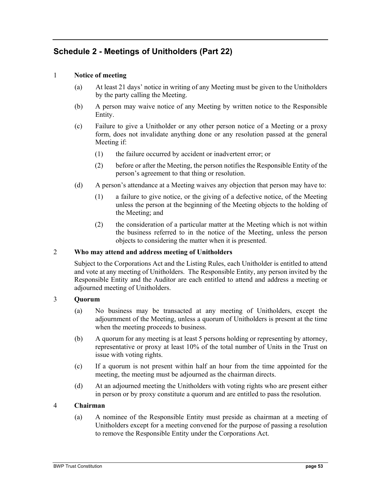# **Schedule 2 - Meetings of Unitholders (Part 22)**

## 1 **Notice of meeting**

- (a) At least 21 days' notice in writing of any Meeting must be given to the Unitholders by the party calling the Meeting.
- (b) A person may waive notice of any Meeting by written notice to the Responsible Entity.
- (c) Failure to give a Unitholder or any other person notice of a Meeting or a proxy form, does not invalidate anything done or any resolution passed at the general Meeting if:
	- (1) the failure occurred by accident or inadvertent error; or
	- (2) before or after the Meeting, the person notifies the Responsible Entity of the person's agreement to that thing or resolution.
- (d) A person's attendance at a Meeting waives any objection that person may have to:
	- (1) a failure to give notice, or the giving of a defective notice, of the Meeting unless the person at the beginning of the Meeting objects to the holding of the Meeting; and
	- (2) the consideration of a particular matter at the Meeting which is not within the business referred to in the notice of the Meeting, unless the person objects to considering the matter when it is presented.

#### 2 **Who may attend and address meeting of Unitholders**

Subject to the Corporations Act and the Listing Rules, each Unitholder is entitled to attend and vote at any meeting of Unitholders. The Responsible Entity, any person invited by the Responsible Entity and the Auditor are each entitled to attend and address a meeting or adjourned meeting of Unitholders.

#### 3 **Quorum**

- (a) No business may be transacted at any meeting of Unitholders, except the adjournment of the Meeting, unless a quorum of Unitholders is present at the time when the meeting proceeds to business.
- (b) A quorum for any meeting is at least 5 persons holding or representing by attorney, representative or proxy at least 10% of the total number of Units in the Trust on issue with voting rights.
- (c) If a quorum is not present within half an hour from the time appointed for the meeting, the meeting must be adjourned as the chairman directs.
- (d) At an adjourned meeting the Unitholders with voting rights who are present either in person or by proxy constitute a quorum and are entitled to pass the resolution.

#### 4 **Chairman**

(a) A nominee of the Responsible Entity must preside as chairman at a meeting of Unitholders except for a meeting convened for the purpose of passing a resolution to remove the Responsible Entity under the Corporations Act.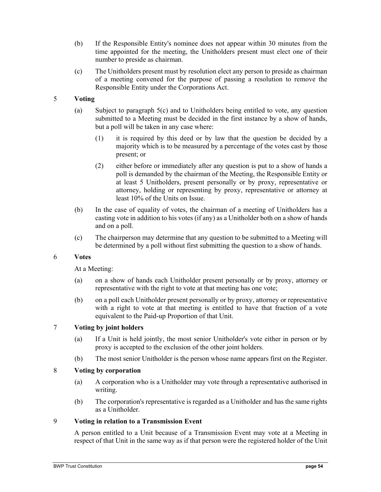- (b) If the Responsible Entity's nominee does not appear within 30 minutes from the time appointed for the meeting, the Unitholders present must elect one of their number to preside as chairman.
- (c) The Unitholders present must by resolution elect any person to preside as chairman of a meeting convened for the purpose of passing a resolution to remove the Responsible Entity under the Corporations Act.

## 5 **Voting**

- (a) Subject to paragraph 5(c) and to Unitholders being entitled to vote, any question submitted to a Meeting must be decided in the first instance by a show of hands, but a poll will be taken in any case where:
	- (1) it is required by this deed or by law that the question be decided by a majority which is to be measured by a percentage of the votes cast by those present; or
	- (2) either before or immediately after any question is put to a show of hands a poll is demanded by the chairman of the Meeting, the Responsible Entity or at least 5 Unitholders, present personally or by proxy, representative or attorney, holding or representing by proxy, representative or attorney at least 10% of the Units on Issue.
- (b) In the case of equality of votes, the chairman of a meeting of Unitholders has a casting vote in addition to his votes (if any) as a Unitholder both on a show of hands and on a poll.
- (c) The chairperson may determine that any question to be submitted to a Meeting will be determined by a poll without first submitting the question to a show of hands.

## 6 **Votes**

At a Meeting:

- (a) on a show of hands each Unitholder present personally or by proxy, attorney or representative with the right to vote at that meeting has one vote;
- (b) on a poll each Unitholder present personally or by proxy, attorney or representative with a right to vote at that meeting is entitled to have that fraction of a vote equivalent to the Paid-up Proportion of that Unit.

## 7 **Voting by joint holders**

- (a) If a Unit is held jointly, the most senior Unitholder's vote either in person or by proxy is accepted to the exclusion of the other joint holders.
- (b) The most senior Unitholder is the person whose name appears first on the Register.

## 8 **Voting by corporation**

- (a) A corporation who is a Unitholder may vote through a representative authorised in writing.
- (b) The corporation's representative is regarded as a Unitholder and has the same rights as a Unitholder.

## 9 **Voting in relation to a Transmission Event**

A person entitled to a Unit because of a Transmission Event may vote at a Meeting in respect of that Unit in the same way as if that person were the registered holder of the Unit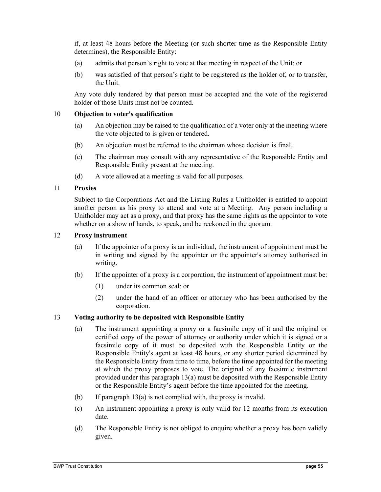if, at least 48 hours before the Meeting (or such shorter time as the Responsible Entity determines), the Responsible Entity:

- (a) admits that person's right to vote at that meeting in respect of the Unit; or
- (b) was satisfied of that person's right to be registered as the holder of, or to transfer, the Unit.

Any vote duly tendered by that person must be accepted and the vote of the registered holder of those Units must not be counted.

#### 10 **Objection to voter's qualification**

- (a) An objection may be raised to the qualification of a voter only at the meeting where the vote objected to is given or tendered.
- (b) An objection must be referred to the chairman whose decision is final.
- (c) The chairman may consult with any representative of the Responsible Entity and Responsible Entity present at the meeting.
- (d) A vote allowed at a meeting is valid for all purposes.

#### 11 **Proxies**

Subject to the Corporations Act and the Listing Rules a Unitholder is entitled to appoint another person as his proxy to attend and vote at a Meeting. Any person including a Unitholder may act as a proxy, and that proxy has the same rights as the appointor to vote whether on a show of hands, to speak, and be reckoned in the quorum.

#### 12 **Proxy instrument**

- (a) If the appointer of a proxy is an individual, the instrument of appointment must be in writing and signed by the appointer or the appointer's attorney authorised in writing.
- (b) If the appointer of a proxy is a corporation, the instrument of appointment must be:
	- (1) under its common seal; or
	- (2) under the hand of an officer or attorney who has been authorised by the corporation.

#### 13 **Voting authority to be deposited with Responsible Entity**

- (a) The instrument appointing a proxy or a facsimile copy of it and the original or certified copy of the power of attorney or authority under which it is signed or a facsimile copy of it must be deposited with the Responsible Entity or the Responsible Entity's agent at least 48 hours, or any shorter period determined by the Responsible Entity from time to time, before the time appointed for the meeting at which the proxy proposes to vote. The original of any facsimile instrument provided under this paragraph 13(a) must be deposited with the Responsible Entity or the Responsible Entity's agent before the time appointed for the meeting.
- (b) If paragraph 13(a) is not complied with, the proxy is invalid.
- (c) An instrument appointing a proxy is only valid for 12 months from its execution date.
- (d) The Responsible Entity is not obliged to enquire whether a proxy has been validly given.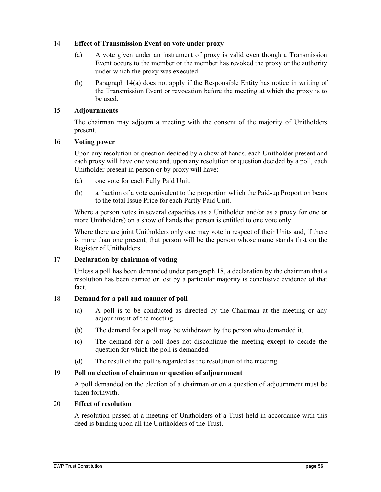#### 14 **Effect of Transmission Event on vote under proxy**

- (a) A vote given under an instrument of proxy is valid even though a Transmission Event occurs to the member or the member has revoked the proxy or the authority under which the proxy was executed.
- (b) Paragraph 14(a) does not apply if the Responsible Entity has notice in writing of the Transmission Event or revocation before the meeting at which the proxy is to be used.

#### 15 **Adjournments**

The chairman may adjourn a meeting with the consent of the majority of Unitholders present.

#### 16 **Voting power**

Upon any resolution or question decided by a show of hands, each Unitholder present and each proxy will have one vote and, upon any resolution or question decided by a poll, each Unitholder present in person or by proxy will have:

- (a) one vote for each Fully Paid Unit;
- (b) a fraction of a vote equivalent to the proportion which the Paid-up Proportion bears to the total Issue Price for each Partly Paid Unit.

Where a person votes in several capacities (as a Unitholder and/or as a proxy for one or more Unitholders) on a show of hands that person is entitled to one vote only.

Where there are joint Unitholders only one may vote in respect of their Units and, if there is more than one present, that person will be the person whose name stands first on the Register of Unitholders.

## 17 **Declaration by chairman of voting**

Unless a poll has been demanded under paragraph 18, a declaration by the chairman that a resolution has been carried or lost by a particular majority is conclusive evidence of that fact.

## 18 **Demand for a poll and manner of poll**

- (a) A poll is to be conducted as directed by the Chairman at the meeting or any adjournment of the meeting.
- (b) The demand for a poll may be withdrawn by the person who demanded it.
- (c) The demand for a poll does not discontinue the meeting except to decide the question for which the poll is demanded.
- (d) The result of the poll is regarded as the resolution of the meeting.

#### 19 **Poll on election of chairman or question of adjournment**

A poll demanded on the election of a chairman or on a question of adjournment must be taken forthwith.

#### 20 **Effect of resolution**

A resolution passed at a meeting of Unitholders of a Trust held in accordance with this deed is binding upon all the Unitholders of the Trust.